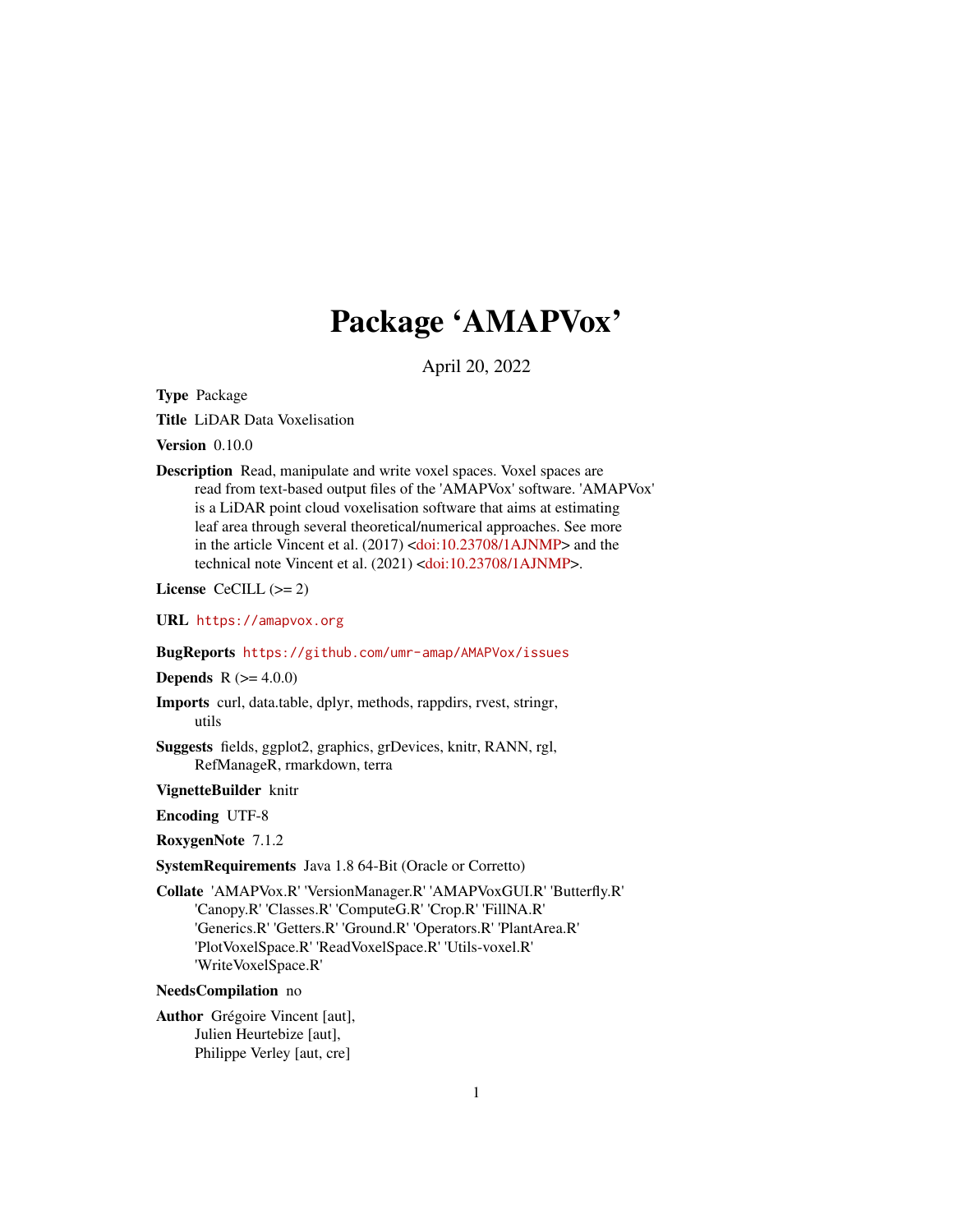## Package 'AMAPVox'

April 20, 2022

<span id="page-0-0"></span>Type Package

Title LiDAR Data Voxelisation

Version 0.10.0

Description Read, manipulate and write voxel spaces. Voxel spaces are read from text-based output files of the 'AMAPVox' software. 'AMAPVox' is a LiDAR point cloud voxelisation software that aims at estimating leaf area through several theoretical/numerical approaches. See more in the article Vincent et al. (2017) [<doi:10.23708/1AJNMP>](https://doi.org/10.23708/1AJNMP) and the technical note Vincent et al. (2021) [<doi:10.23708/1AJNMP>](https://doi.org/10.23708/1AJNMP).

License CeCILL  $(>= 2)$ 

URL <https://amapvox.org>

#### BugReports <https://github.com/umr-amap/AMAPVox/issues>

**Depends**  $R (= 4.0.0)$ 

- Imports curl, data.table, dplyr, methods, rappdirs, rvest, stringr, utils
- Suggests fields, ggplot2, graphics, grDevices, knitr, RANN, rgl, RefManageR, rmarkdown, terra

VignetteBuilder knitr

Encoding UTF-8

RoxygenNote 7.1.2

SystemRequirements Java 1.8 64-Bit (Oracle or Corretto)

Collate 'AMAPVox.R' 'VersionManager.R' 'AMAPVoxGUI.R' 'Butterfly.R' 'Canopy.R' 'Classes.R' 'ComputeG.R' 'Crop.R' 'FillNA.R' 'Generics.R' 'Getters.R' 'Ground.R' 'Operators.R' 'PlantArea.R' 'PlotVoxelSpace.R' 'ReadVoxelSpace.R' 'Utils-voxel.R' 'WriteVoxelSpace.R'

#### NeedsCompilation no

Author Grégoire Vincent [aut], Julien Heurtebize [aut], Philippe Verley [aut, cre]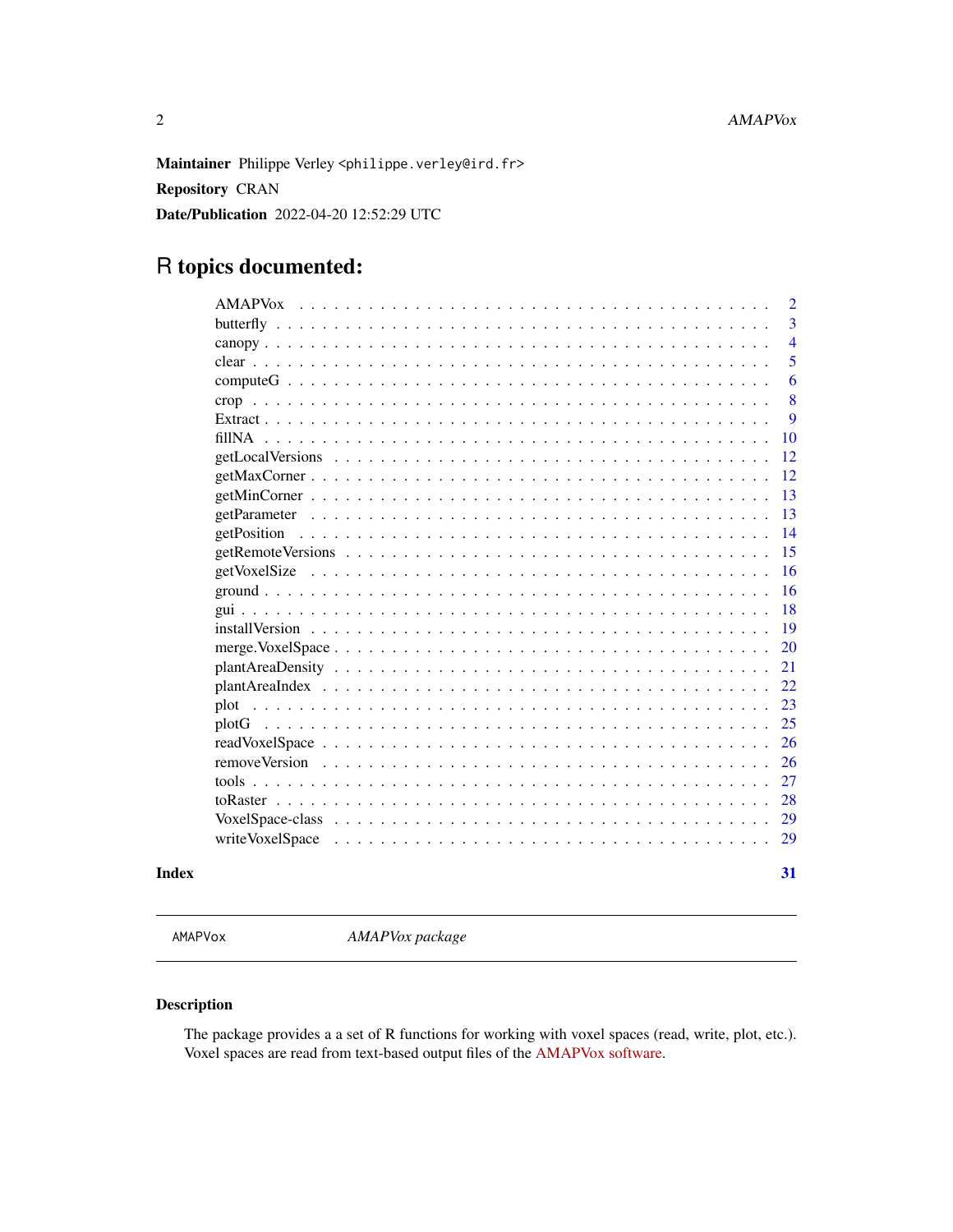<span id="page-1-0"></span>Maintainer Philippe Verley <philippe.verley@ird.fr> Repository CRAN Date/Publication 2022-04-20 12:52:29 UTC

## R topics documented:

|       |                 | $\overline{2}$<br>3 |
|-------|-----------------|---------------------|
|       |                 | $\overline{4}$      |
|       |                 | 5                   |
|       |                 | 6                   |
|       |                 | 8                   |
|       |                 | 9                   |
|       |                 | <b>10</b>           |
|       |                 | 12                  |
|       |                 | <sup>12</sup>       |
|       |                 | <sup>13</sup>       |
|       |                 | 13                  |
|       |                 | -14                 |
|       |                 | 15                  |
|       |                 | <sup>16</sup>       |
|       |                 | -16                 |
|       |                 | 18                  |
|       |                 | 19                  |
|       |                 | <b>20</b>           |
|       |                 | 21                  |
|       |                 | 22                  |
|       |                 | 23                  |
|       |                 | 25                  |
|       |                 | 26                  |
|       |                 | <sup>26</sup>       |
|       |                 | 27                  |
|       |                 | 28                  |
|       |                 | 29                  |
|       | writeVoxelSpace | 29                  |
| Index |                 | 31                  |

AMAPVox *AMAPVox package*

#### Description

The package provides a a set of R functions for working with voxel spaces (read, write, plot, etc.). Voxel spaces are read from text-based output files of the [AMAPVox software.](https://amap-dev.cirad.fr/projects/amapvox)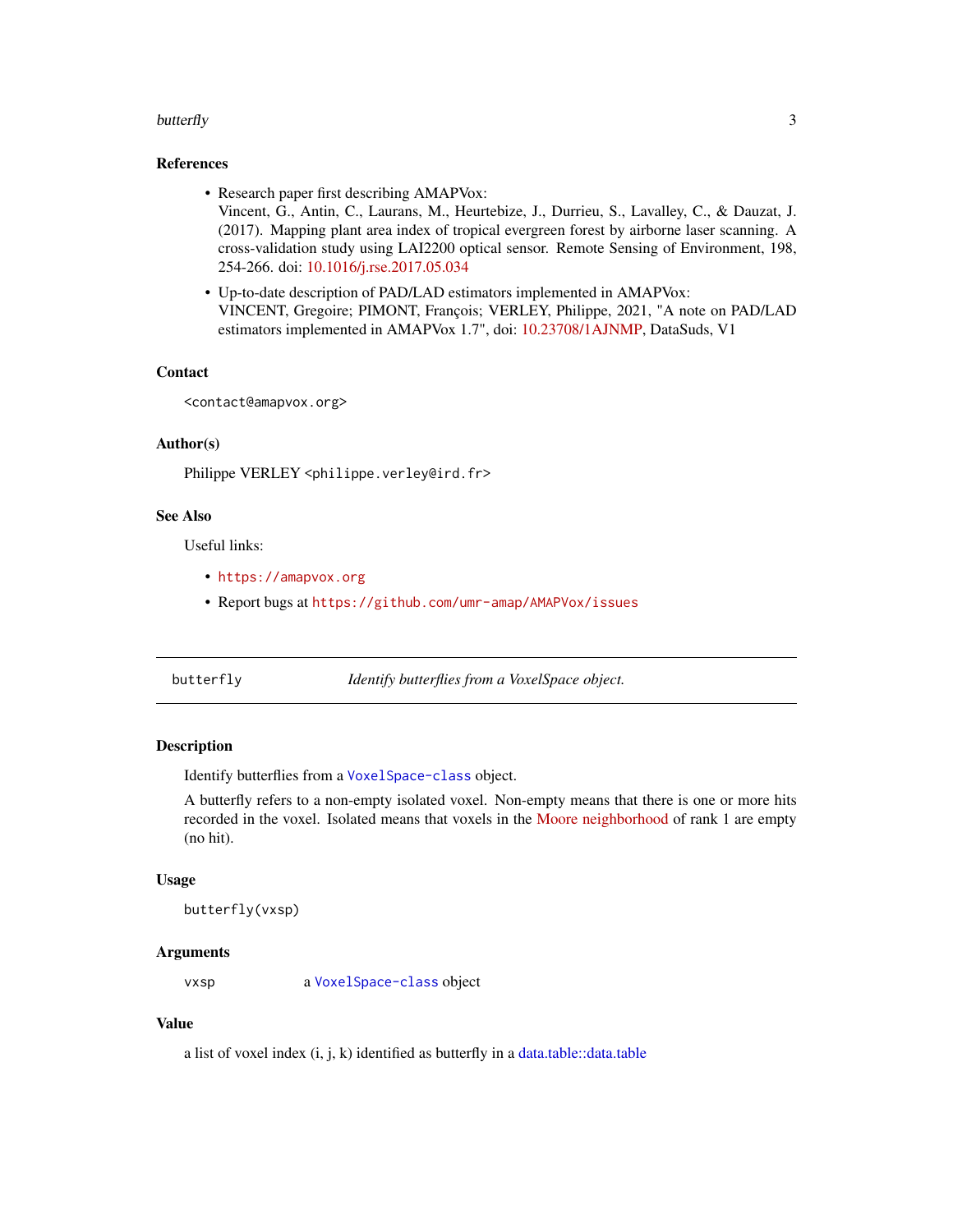#### <span id="page-2-0"></span>butterfly 3

#### References

- Research paper first describing AMAPVox: Vincent, G., Antin, C., Laurans, M., Heurtebize, J., Durrieu, S., Lavalley, C., & Dauzat, J. (2017). Mapping plant area index of tropical evergreen forest by airborne laser scanning. A cross-validation study using LAI2200 optical sensor. Remote Sensing of Environment, 198, 254-266. doi: [10.1016/j.rse.2017.05.034](https://doi.org/10.1016/j.rse.2017.05.034)
- Up-to-date description of PAD/LAD estimators implemented in AMAPVox: VINCENT, Gregoire; PIMONT, François; VERLEY, Philippe, 2021, "A note on PAD/LAD estimators implemented in AMAPVox 1.7", doi: [10.23708/1AJNMP,](https://doi.org/10.23708/1AJNMP) DataSuds, V1

#### **Contact**

<contact@amapvox.org>

#### Author(s)

Philippe VERLEY <philippe.verley@ird.fr>

#### See Also

Useful links:

- <https://amapvox.org>
- Report bugs at <https://github.com/umr-amap/AMAPVox/issues>

<span id="page-2-1"></span>butterfly *Identify butterflies from a VoxelSpace object.*

#### Description

Identify butterflies from a [VoxelSpace-class](#page-28-1) object.

A butterfly refers to a non-empty isolated voxel. Non-empty means that there is one or more hits recorded in the voxel. Isolated means that voxels in the [Moore neighborhood](https://en.wikipedia.org/wiki/Moore_neighborhood) of rank 1 are empty (no hit).

#### Usage

butterfly(vxsp)

#### Arguments

vxsp a [VoxelSpace-class](#page-28-1) object

#### Value

a list of voxel index (i, j, k) identified as butterfly in a [data.table::data.table](#page-0-0)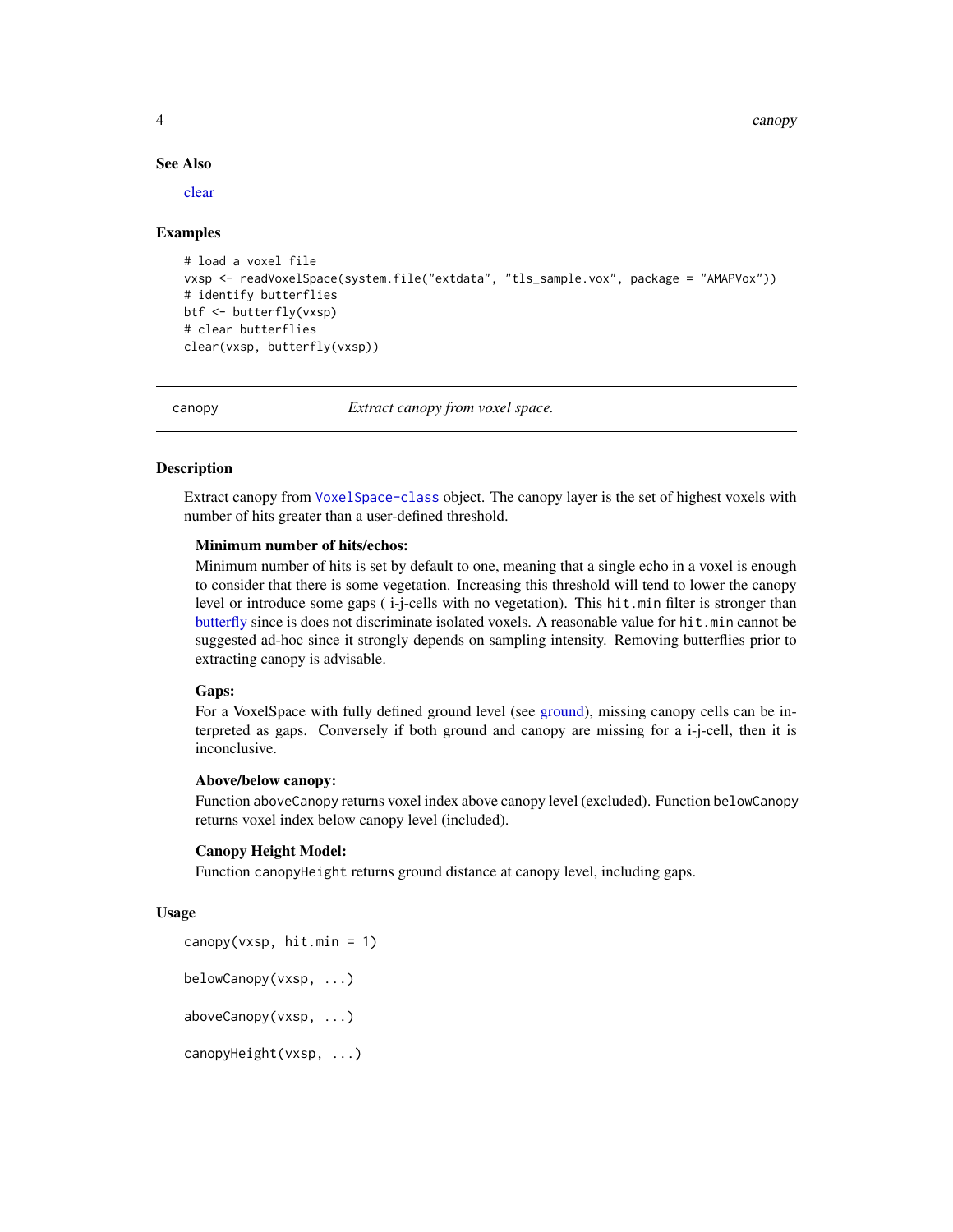#### See Also

[clear](#page-4-1)

#### Examples

```
# load a voxel file
vxsp <- readVoxelSpace(system.file("extdata", "tls_sample.vox", package = "AMAPVox"))
# identify butterflies
btf <- butterfly(vxsp)
# clear butterflies
clear(vxsp, butterfly(vxsp))
```
canopy *Extract canopy from voxel space.*

#### Description

Extract canopy from [VoxelSpace-class](#page-28-1) object. The canopy layer is the set of highest voxels with number of hits greater than a user-defined threshold.

#### Minimum number of hits/echos:

Minimum number of hits is set by default to one, meaning that a single echo in a voxel is enough to consider that there is some vegetation. Increasing this threshold will tend to lower the canopy level or introduce some gaps ( i-j-cells with no vegetation). This hit.min filter is stronger than [butterfly](#page-2-1) since is does not discriminate isolated voxels. A reasonable value for hit.min cannot be suggested ad-hoc since it strongly depends on sampling intensity. Removing butterflies prior to extracting canopy is advisable.

#### Gaps:

For a VoxelSpace with fully defined ground level (see [ground\)](#page-15-1), missing canopy cells can be interpreted as gaps. Conversely if both ground and canopy are missing for a i-j-cell, then it is inconclusive.

#### Above/below canopy:

Function aboveCanopy returns voxel index above canopy level (excluded). Function belowCanopy returns voxel index below canopy level (included).

#### Canopy Height Model:

Function canopyHeight returns ground distance at canopy level, including gaps.

#### Usage

```
canopy(vxsp, hit.min = 1)
belowCanopy(vxsp, ...)
aboveCanopy(vxsp, ...)
canopyHeight(vxsp, ...)
```
<span id="page-3-0"></span>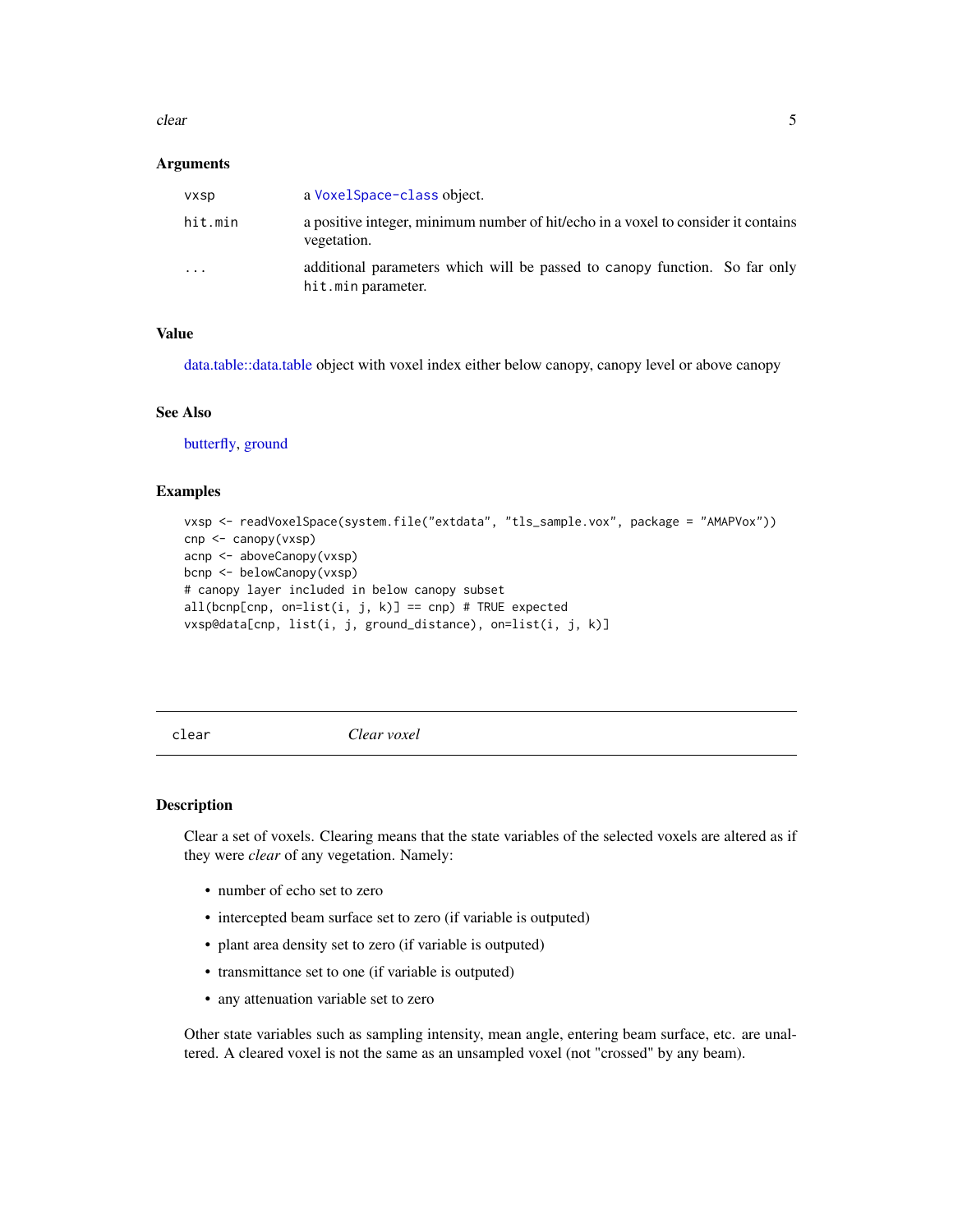#### <span id="page-4-0"></span>clear 5

#### Arguments

| <b>VXSD</b>       | a Voxel Space-class object.                                                                      |
|-------------------|--------------------------------------------------------------------------------------------------|
| hit.min           | a positive integer, minimum number of hit/echo in a voxel to consider it contains<br>vegetation. |
| $\cdot\cdot\cdot$ | additional parameters which will be passed to canopy function. So far only<br>hit.min parameter. |

#### Value

[data.table::data.table](#page-0-0) object with voxel index either below canopy, canopy level or above canopy

#### See Also

[butterfly,](#page-2-1) [ground](#page-15-1)

#### Examples

```
vxsp <- readVoxelSpace(system.file("extdata", "tls_sample.vox", package = "AMAPVox"))
cnp <- canopy(vxsp)
acnp <- aboveCanopy(vxsp)
bcnp <- belowCanopy(vxsp)
# canopy layer included in below canopy subset
all(bcnp[cnp, on=list(i, j, k)] == cnp) # TRUE expected
vxsp@data[cnp, list(i, j, ground_distance), on=list(i, j, k)]
```
<span id="page-4-1"></span>clear *Clear voxel*

#### **Description**

Clear a set of voxels. Clearing means that the state variables of the selected voxels are altered as if they were *clear* of any vegetation. Namely:

- number of echo set to zero
- intercepted beam surface set to zero (if variable is outputed)
- plant area density set to zero (if variable is outputed)
- transmittance set to one (if variable is outputed)
- any attenuation variable set to zero

Other state variables such as sampling intensity, mean angle, entering beam surface, etc. are unaltered. A cleared voxel is not the same as an unsampled voxel (not "crossed" by any beam).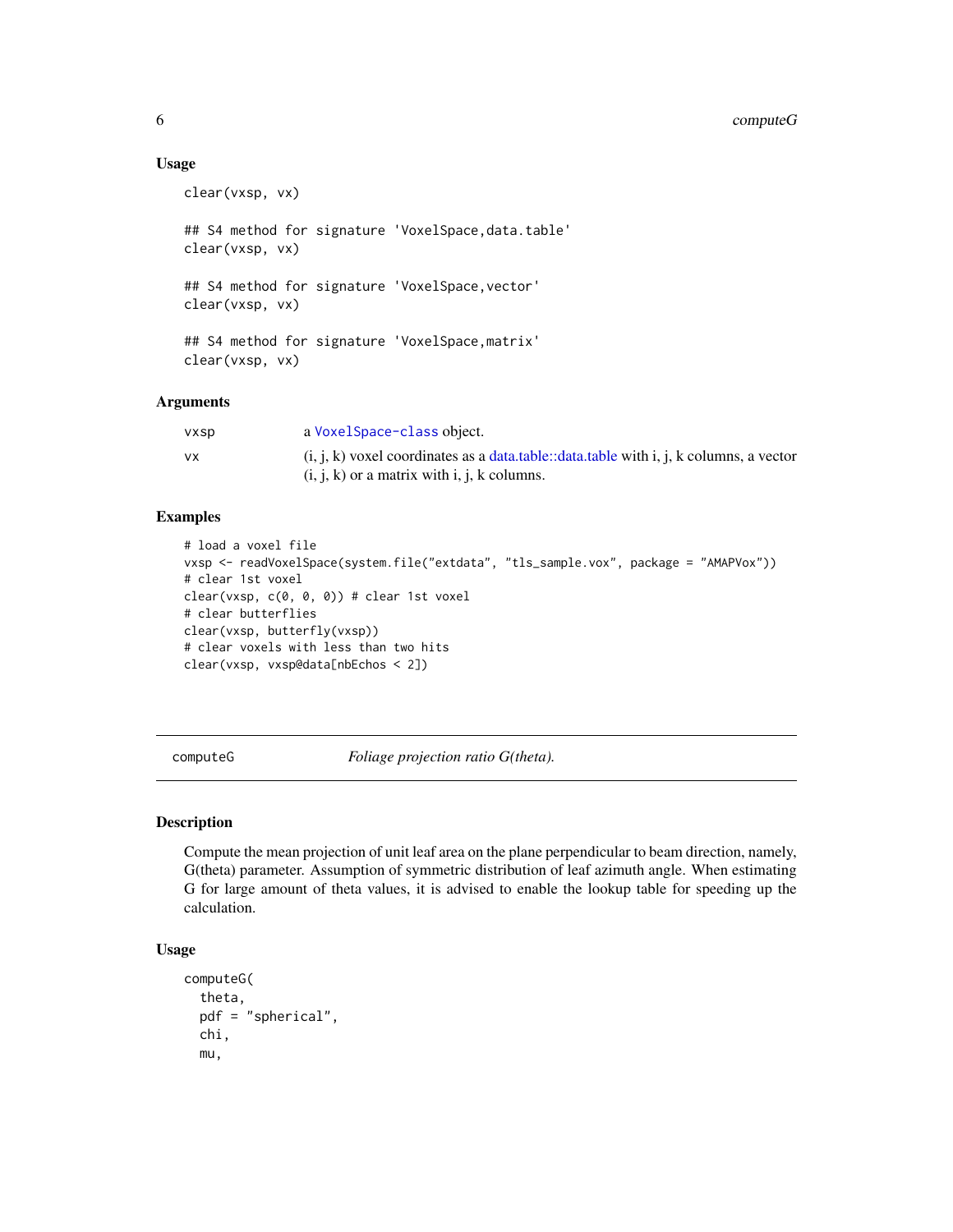#### <span id="page-5-0"></span>6 computeG

#### Usage

clear(vxsp, vx) ## S4 method for signature 'VoxelSpace, data.table' clear(vxsp, vx) ## S4 method for signature 'VoxelSpace, vector' clear(vxsp, vx) ## S4 method for signature 'VoxelSpace,matrix' clear(vxsp, vx)

#### Arguments

| <b>VXSD</b> | a Voxel Space-class object.                                                                                                               |
|-------------|-------------------------------------------------------------------------------------------------------------------------------------------|
| <b>VX</b>   | $(i, j, k)$ voxel coordinates as a data.table::data.table with i, j, k columns, a vector<br>$(i, j, k)$ or a matrix with i, j, k columns. |

#### Examples

```
# load a voxel file
vxsp <- readVoxelSpace(system.file("extdata", "tls_sample.vox", package = "AMAPVox"))
# clear 1st voxel
clear(vxsp, c(0, 0, 0)) # clear 1st voxel
# clear butterflies
clear(vxsp, butterfly(vxsp))
# clear voxels with less than two hits
clear(vxsp, vxsp@data[nbEchos < 2])
```
<span id="page-5-1"></span>computeG *Foliage projection ratio G(theta).*

#### Description

Compute the mean projection of unit leaf area on the plane perpendicular to beam direction, namely, G(theta) parameter. Assumption of symmetric distribution of leaf azimuth angle. When estimating G for large amount of theta values, it is advised to enable the lookup table for speeding up the calculation.

#### Usage

```
computeG(
  theta,
  pdf = "spherical",
  chi,
  mu,
```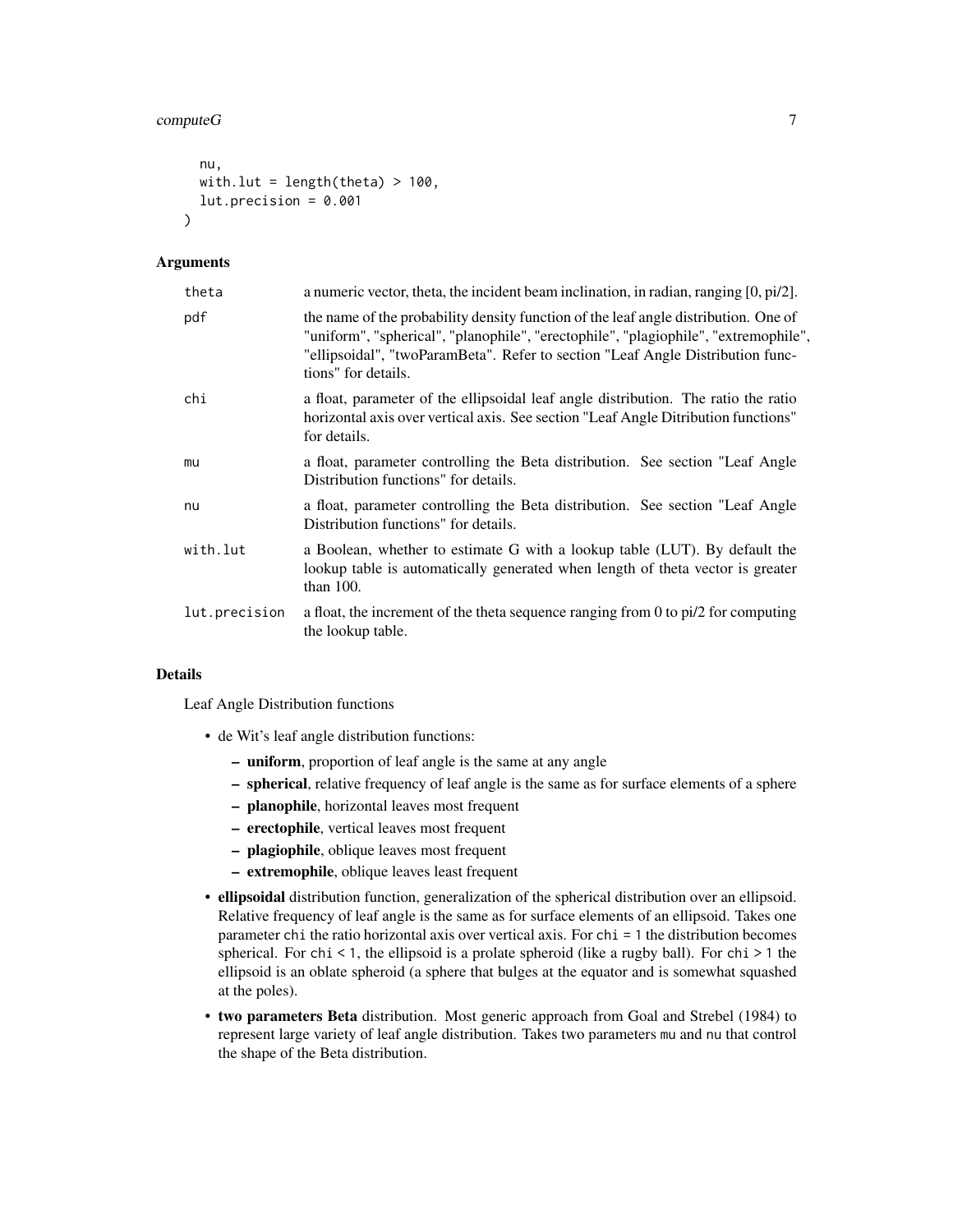#### $computeG$   $\qquad \qquad$  7

```
nu,
  with.lut = length(theta) > 100,
  lut.precision = <math>0.001</math>\lambda
```
#### Arguments

| theta         | a numeric vector, theta, the incident beam inclination, in radian, ranging $[0, \pi/2]$ .                                                                                                                                                                                           |  |  |
|---------------|-------------------------------------------------------------------------------------------------------------------------------------------------------------------------------------------------------------------------------------------------------------------------------------|--|--|
| pdf           | the name of the probability density function of the leaf angle distribution. One of<br>"uniform", "spherical", "planophile", "erectophile", "plagiophile", "extremophile",<br>"ellipsoidal", "twoParamBeta". Refer to section "Leaf Angle Distribution func-<br>tions" for details. |  |  |
| chi           | a float, parameter of the ellipsoidal leaf angle distribution. The ratio the ratio<br>horizontal axis over vertical axis. See section "Leaf Angle Ditribution functions"<br>for details.                                                                                            |  |  |
| mu            | a float, parameter controlling the Beta distribution. See section "Leaf Angle"<br>Distribution functions" for details.                                                                                                                                                              |  |  |
| nu            | a float, parameter controlling the Beta distribution. See section "Leaf Angle"<br>Distribution functions" for details.                                                                                                                                                              |  |  |
| with.lut      | a Boolean, whether to estimate G with a lookup table (LUT). By default the<br>lookup table is automatically generated when length of theta vector is greater<br>than $100$ .                                                                                                        |  |  |
| lut.precision | a float, the increment of the theta sequence ranging from $0$ to $pi/2$ for computing<br>the lookup table.                                                                                                                                                                          |  |  |

#### Details

Leaf Angle Distribution functions

- de Wit's leaf angle distribution functions:
	- uniform, proportion of leaf angle is the same at any angle
	- spherical, relative frequency of leaf angle is the same as for surface elements of a sphere
	- planophile, horizontal leaves most frequent
	- erectophile, vertical leaves most frequent
	- plagiophile, oblique leaves most frequent
	- extremophile, oblique leaves least frequent
- ellipsoidal distribution function, generalization of the spherical distribution over an ellipsoid. Relative frequency of leaf angle is the same as for surface elements of an ellipsoid. Takes one parameter chi the ratio horizontal axis over vertical axis. For chi = 1 the distribution becomes spherical. For chi < 1, the ellipsoid is a prolate spheroid (like a rugby ball). For chi > 1 the ellipsoid is an oblate spheroid (a sphere that bulges at the equator and is somewhat squashed at the poles).
- two parameters Beta distribution. Most generic approach from Goal and Strebel (1984) to represent large variety of leaf angle distribution. Takes two parameters mu and nu that control the shape of the Beta distribution.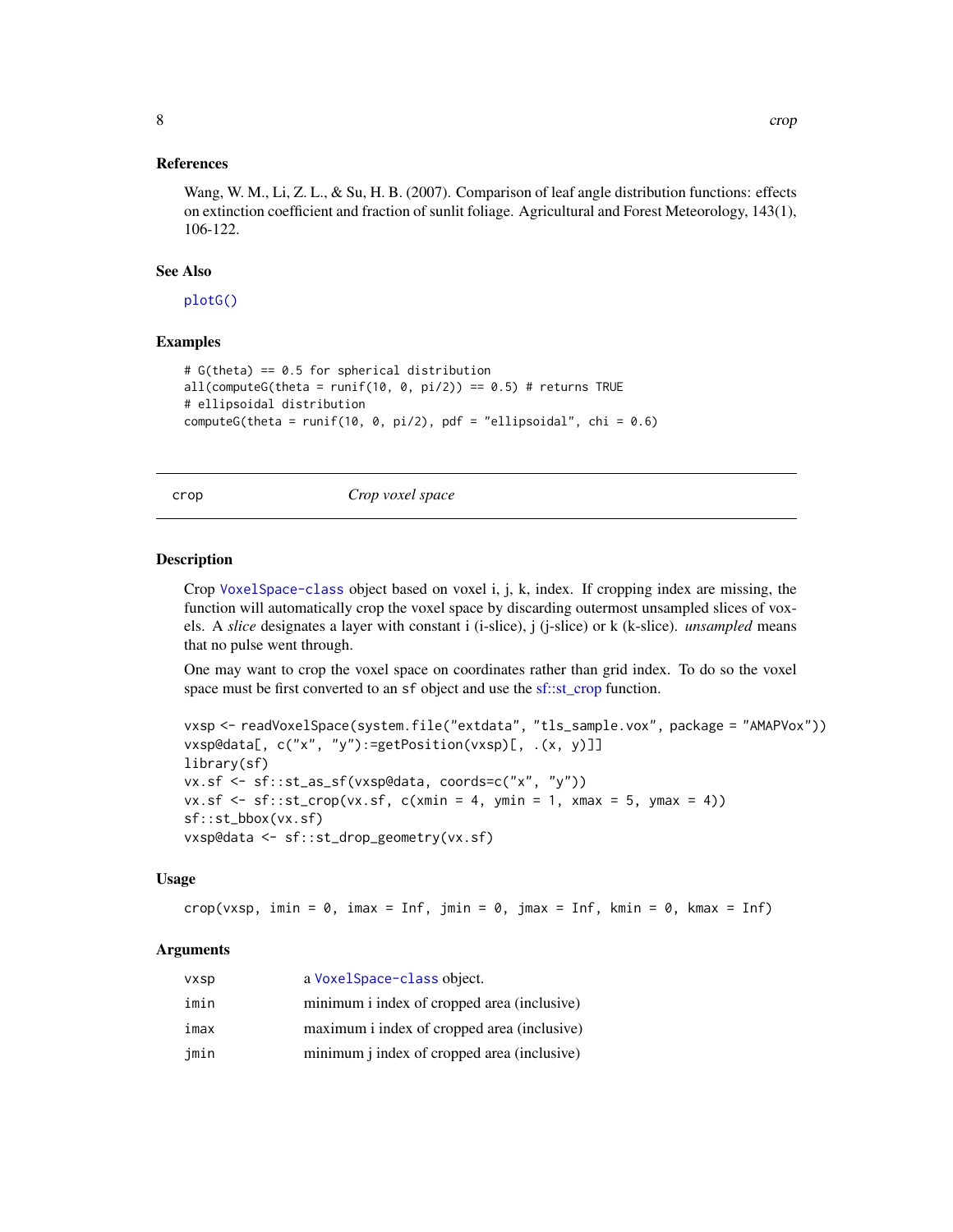#### <span id="page-7-0"></span>References

Wang, W. M., Li, Z. L., & Su, H. B. (2007). Comparison of leaf angle distribution functions: effects on extinction coefficient and fraction of sunlit foliage. Agricultural and Forest Meteorology, 143(1), 106-122.

#### See Also

[plotG\(\)](#page-24-1)

#### Examples

```
# G(theta) == 0.5 for spherical distribution
all(computeG(theta = runif(10, 0, pi/2)) == 0.5) # returns TRUE
# ellipsoidal distribution
computeG(theta = runif(10, 0, pi/2), pdf = "ellipsoidal", chi = 0.6)
```
crop *Crop voxel space*

#### Description

Crop [VoxelSpace-class](#page-28-1) object based on voxel i, j, k, index. If cropping index are missing, the function will automatically crop the voxel space by discarding outermost unsampled slices of voxels. A *slice* designates a layer with constant i (i-slice), j (j-slice) or k (k-slice). *unsampled* means that no pulse went through.

One may want to crop the voxel space on coordinates rather than grid index. To do so the voxel space must be first converted to an sf object and use the [sf::st\\_crop](#page-0-0) function.

```
vxsp <- readVoxelSpace(system.file("extdata", "tls_sample.vox", package = "AMAPVox"))
vxsp@data[, c("x", "y"):=getPosition(vxsp)[, .(x, y)]]
library(sf)
vx.sf <- sf::st_as_sf(vxsp@data, coords=c("x", "y"))
vx.sf \leq sf::st_crop(vx.sf, c(xmin = 4, ymin = 1, xmax = 5, ymax = 4))sf::st_bbox(vx.sf)
vxsp@data <- sf::st_drop_geometry(vx.sf)
```
#### Usage

 $\text{crop}(v \times sp, \text{ imin} = 0, \text{ imax} = \text{Inf}, \text{ jmin} = 0, \text{ jmax} = \text{Inf}, \text{ kmin} = 0, \text{ kmax} = \text{Inf})$ 

#### Arguments

| vxsp | a VoxelSpace-class object.                         |
|------|----------------------------------------------------|
| imin | minimum i index of cropped area (inclusive)        |
| imax | maximum i index of cropped area (inclusive)        |
| jmin | minimum <i>j</i> index of cropped area (inclusive) |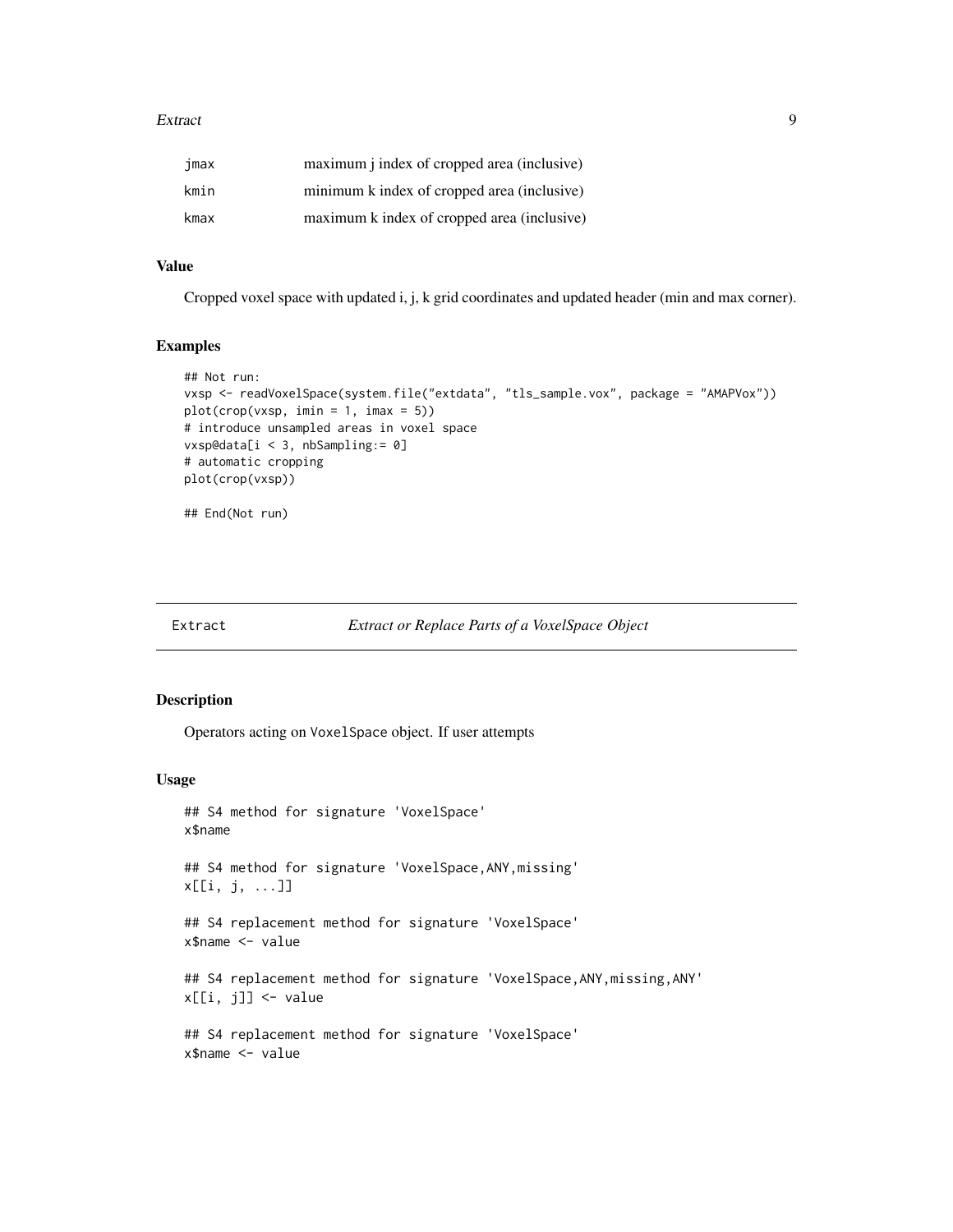#### <span id="page-8-0"></span>Extract 9

| jmax | maximum <i>j</i> index of cropped area (inclusive) |
|------|----------------------------------------------------|
| kmin | minimum k index of cropped area (inclusive)        |
| kmax | maximum k index of cropped area (inclusive)        |

#### Value

Cropped voxel space with updated i, j, k grid coordinates and updated header (min and max corner).

#### Examples

```
## Not run:
vxsp <- readVoxelSpace(system.file("extdata", "tls_sample.vox", package = "AMAPVox"))
plot(crop(vxsp, imin = 1, imax = 5))
# introduce unsampled areas in voxel space
vxsp@data[i < 3, nbSampling:= 0]
# automatic cropping
plot(crop(vxsp))
```
## End(Not run)

| Extract | <b>Extract or Replace Parts of a VoxelSpace Object</b> |  |  |  |
|---------|--------------------------------------------------------|--|--|--|
|---------|--------------------------------------------------------|--|--|--|

#### Description

Operators acting on VoxelSpace object. If user attempts

#### Usage

```
## S4 method for signature 'VoxelSpace'
x$name
## S4 method for signature 'VoxelSpace,ANY,missing'
x[[i, j, ...]]
## S4 replacement method for signature 'VoxelSpace'
x$name <- value
## S4 replacement method for signature 'VoxelSpace, ANY, missing, ANY'
x[[i, j]] <- value
## S4 replacement method for signature 'VoxelSpace'
x$name <- value
```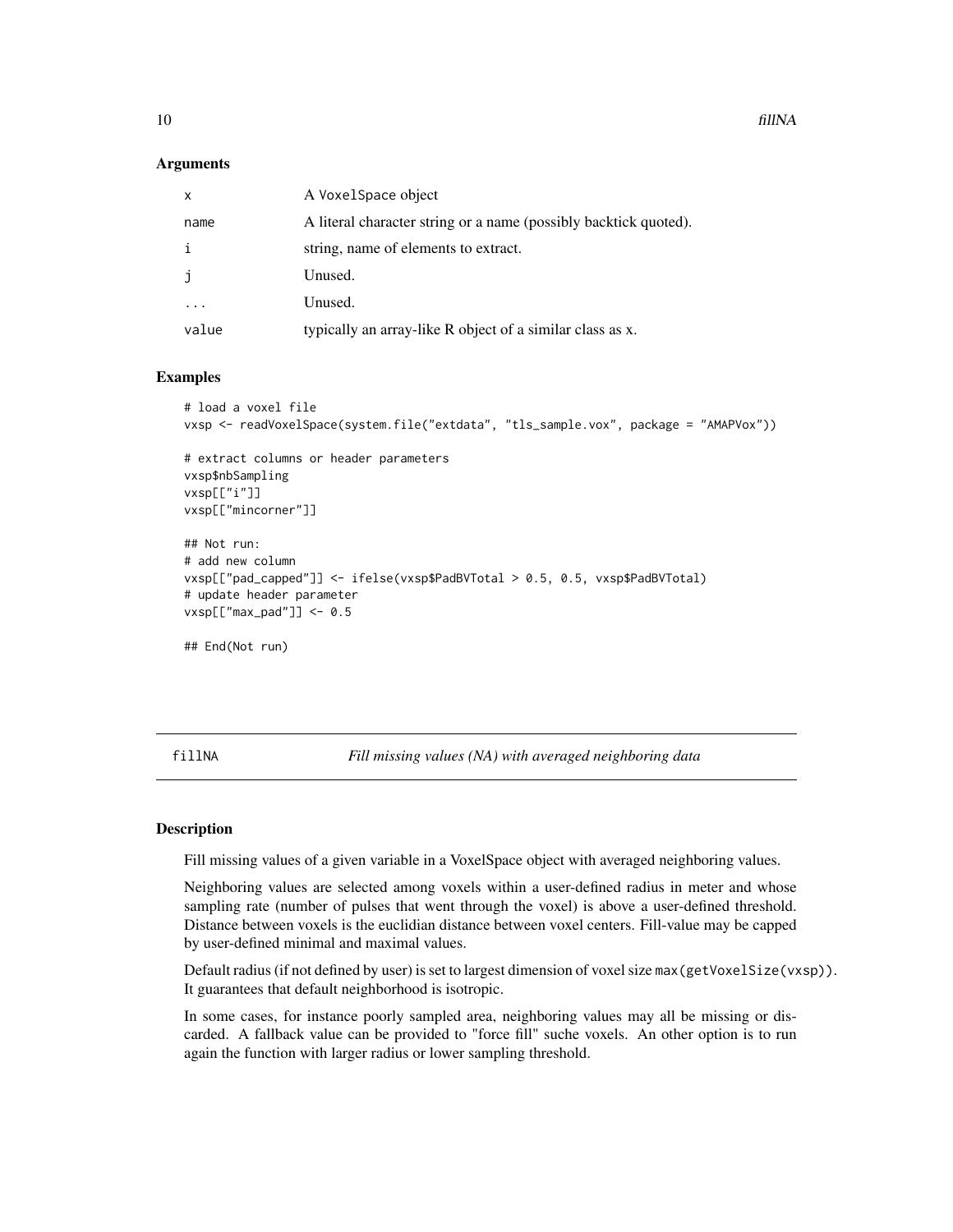#### <span id="page-9-0"></span>Arguments

| $\mathsf{x}$ | A VoxelSpace object                                              |
|--------------|------------------------------------------------------------------|
| name         | A literal character string or a name (possibly backtick quoted). |
| i            | string, name of elements to extract.                             |
| j            | Unused.                                                          |
|              | Unused.                                                          |
| value        | typically an array-like R object of a similar class as x.        |

#### Examples

```
# load a voxel file
vxsp <- readVoxelSpace(system.file("extdata", "tls_sample.vox", package = "AMAPVox"))
# extract columns or header parameters
vxsp$nbSampling
vxsp[["i"]]
vxsp[["mincorner"]]
## Not run:
# add new column
vxsp[["pad_capped"]] <- ifelse(vxsp$PadBVTotal > 0.5, 0.5, vxsp$PadBVTotal)
# update header parameter
vxsp[["max_pad"] <- 0.5
## End(Not run)
```
fillNA *Fill missing values (NA) with averaged neighboring data*

#### Description

Fill missing values of a given variable in a VoxelSpace object with averaged neighboring values.

Neighboring values are selected among voxels within a user-defined radius in meter and whose sampling rate (number of pulses that went through the voxel) is above a user-defined threshold. Distance between voxels is the euclidian distance between voxel centers. Fill-value may be capped by user-defined minimal and maximal values.

Default radius (if not defined by user) is set to largest dimension of voxel size max (getVoxelSize(vxsp)). It guarantees that default neighborhood is isotropic.

In some cases, for instance poorly sampled area, neighboring values may all be missing or discarded. A fallback value can be provided to "force fill" suche voxels. An other option is to run again the function with larger radius or lower sampling threshold.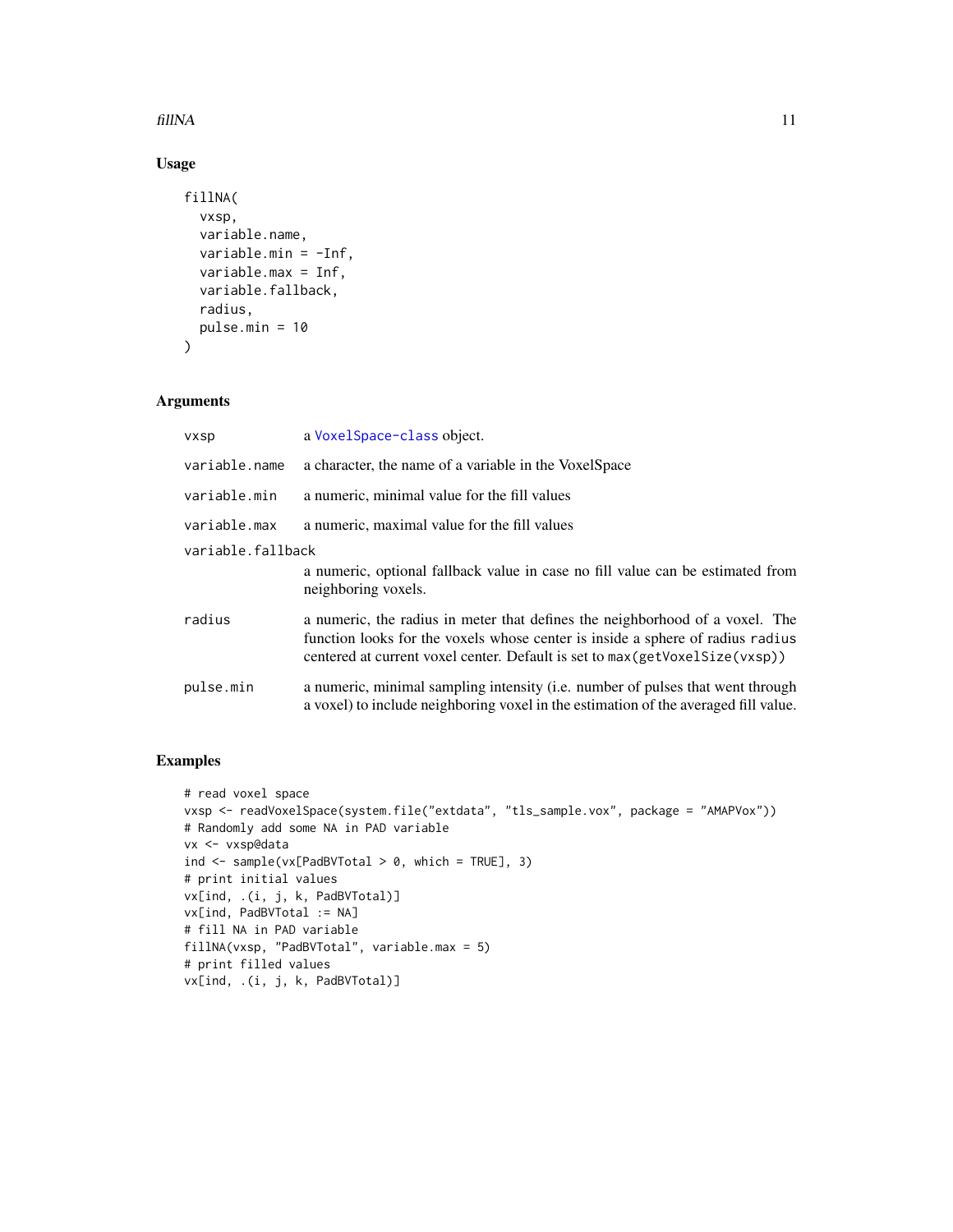#### fillNA 11

### Usage

```
fillNA(
  vxsp,
  variable.name,
  variable.min = -Inf,
  variable.max = Inf,
  variable.fallback,
  radius,
  pulse.min = 10
)
```
#### Arguments

| <b>VXSD</b>       | a Voxel Space-class object.                                                                                                                                                                                                                   |
|-------------------|-----------------------------------------------------------------------------------------------------------------------------------------------------------------------------------------------------------------------------------------------|
| variable.name     | a character, the name of a variable in the VoxelSpace                                                                                                                                                                                         |
| variable.min      | a numeric, minimal value for the fill values                                                                                                                                                                                                  |
| variable.max      | a numeric, maximal value for the fill values                                                                                                                                                                                                  |
| variable.fallback |                                                                                                                                                                                                                                               |
|                   | a numeric, optional fallback value in case no fill value can be estimated from<br>neighboring voxels.                                                                                                                                         |
| radius            | a numeric, the radius in meter that defines the neighborhood of a voxel. The<br>function looks for the voxels whose center is inside a sphere of radius radius<br>centered at current voxel center. Default is set to max(getVoxelSize(vxsp)) |
| pulse.min         | a numeric, minimal sampling intensity (i.e. number of pulses that went through<br>a voxel) to include neighboring voxel in the estimation of the averaged fill value.                                                                         |

#### Examples

```
# read voxel space
vxsp <- readVoxelSpace(system.file("extdata", "tls_sample.vox", package = "AMAPVox"))
# Randomly add some NA in PAD variable
vx <- vxsp@data
ind \leq sample(vx[PadBVTotal > 0, which = TRUE], 3)
# print initial values
vx[ind, .(i, j, k, PadBVTotal)]
vx[ind, PadBVTotal := NA]
# fill NA in PAD variable
fillNA(vxsp, "PadBVTotal", variable.max = 5)
# print filled values
vx[ind, .(i, j, k, PadBVTotal)]
```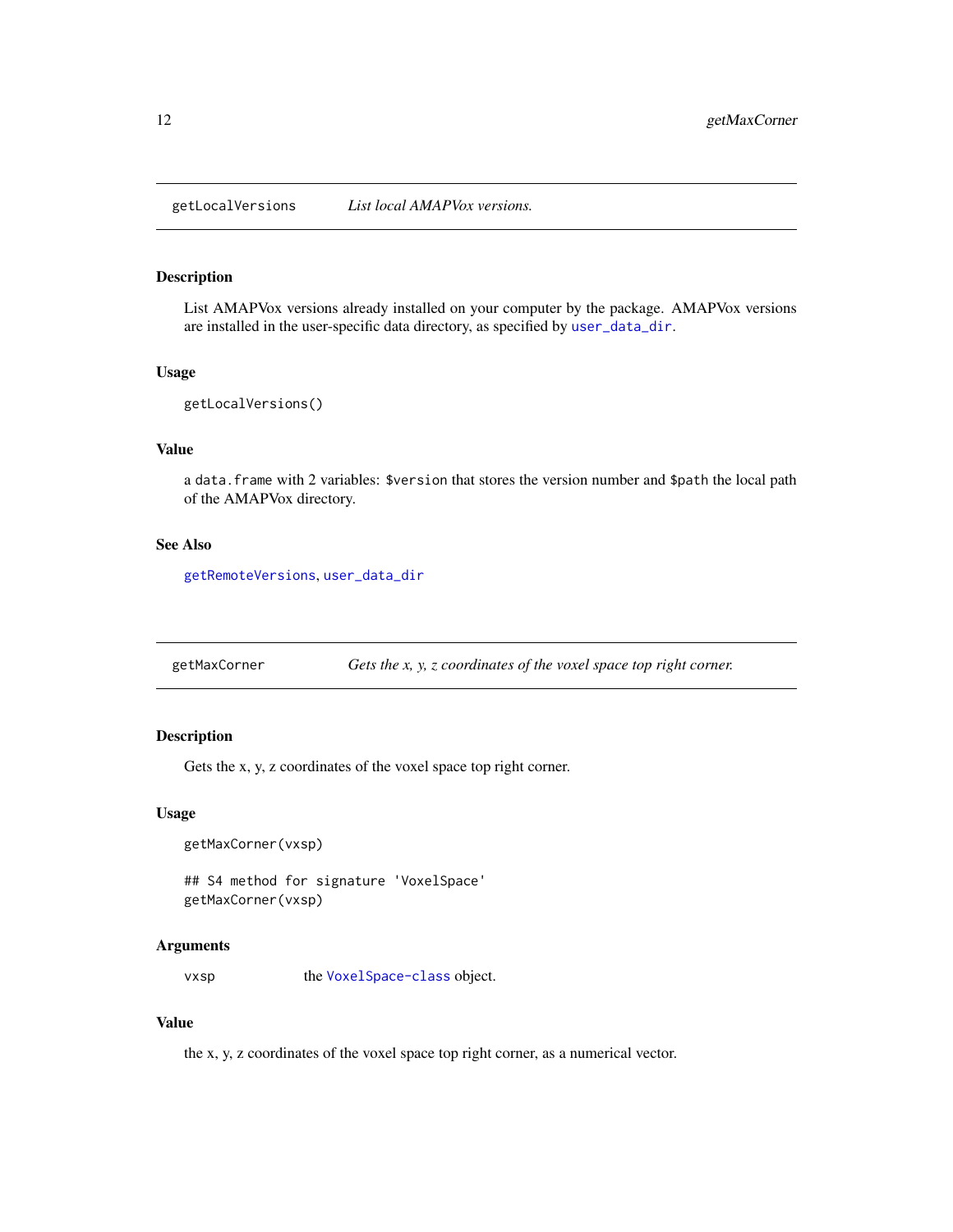<span id="page-11-1"></span><span id="page-11-0"></span>getLocalVersions *List local AMAPVox versions.*

#### Description

List AMAPVox versions already installed on your computer by the package. AMAPVox versions are installed in the user-specific data directory, as specified by [user\\_data\\_dir](#page-0-0).

#### Usage

```
getLocalVersions()
```
#### Value

a data.frame with 2 variables: \$version that stores the version number and \$path the local path of the AMAPVox directory.

#### See Also

[getRemoteVersions](#page-14-1), [user\\_data\\_dir](#page-0-0)

getMaxCorner *Gets the x, y, z coordinates of the voxel space top right corner.*

#### Description

Gets the x, y, z coordinates of the voxel space top right corner.

#### Usage

getMaxCorner(vxsp)

## S4 method for signature 'VoxelSpace' getMaxCorner(vxsp)

#### Arguments

vxsp the [VoxelSpace-class](#page-28-1) object.

#### Value

the x, y, z coordinates of the voxel space top right corner, as a numerical vector.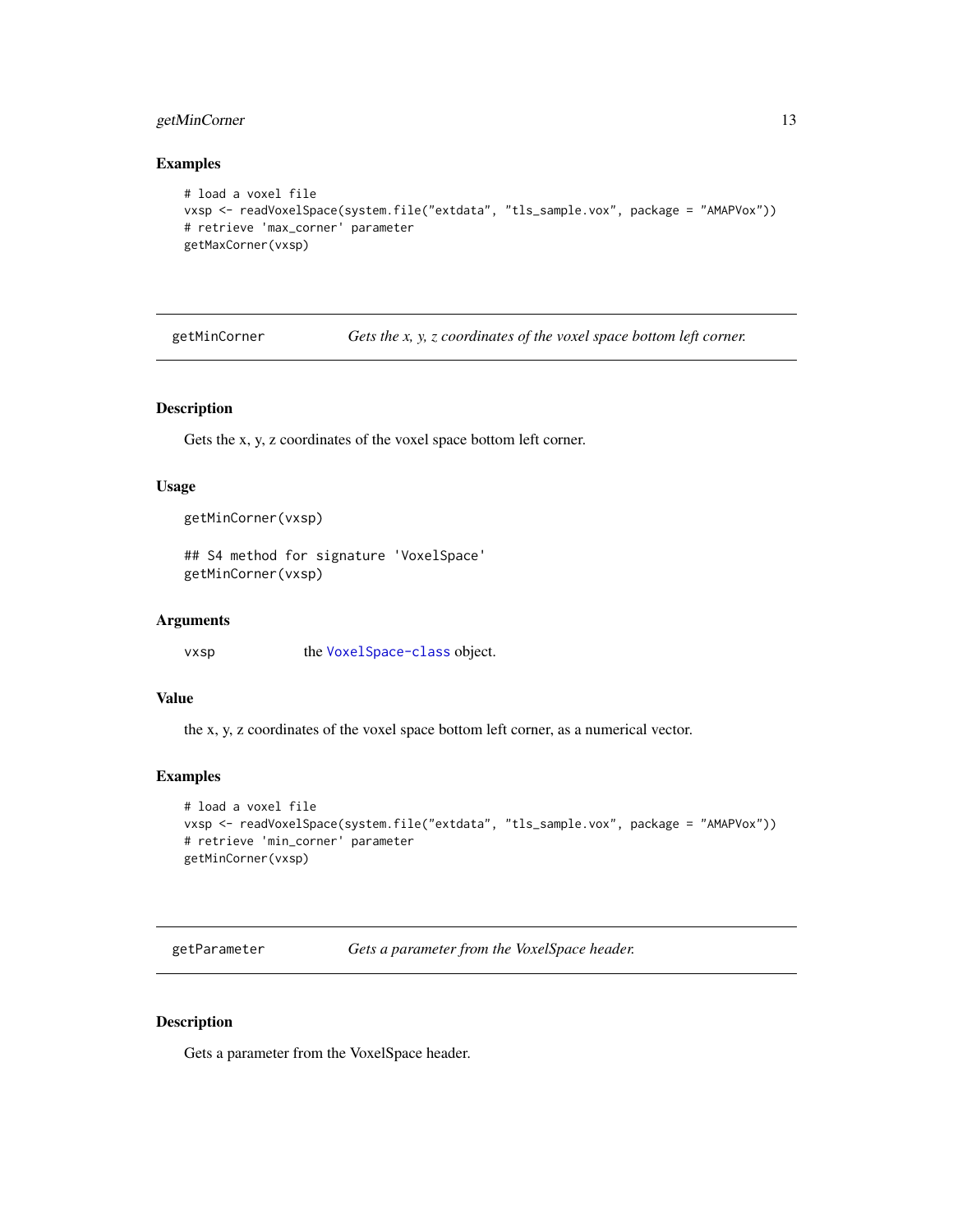#### <span id="page-12-0"></span>getMinCorner 13

#### Examples

```
# load a voxel file
vxsp <- readVoxelSpace(system.file("extdata", "tls_sample.vox", package = "AMAPVox"))
# retrieve 'max_corner' parameter
getMaxCorner(vxsp)
```

| getMinCorner | Gets the x, y, z coordinates of the voxel space bottom left corner. |  |  |
|--------------|---------------------------------------------------------------------|--|--|
|              |                                                                     |  |  |

#### Description

Gets the x, y, z coordinates of the voxel space bottom left corner.

#### Usage

```
getMinCorner(vxsp)
```

```
## S4 method for signature 'VoxelSpace'
getMinCorner(vxsp)
```
#### Arguments

vxsp the [VoxelSpace-class](#page-28-1) object.

#### Value

the x, y, z coordinates of the voxel space bottom left corner, as a numerical vector.

#### Examples

```
# load a voxel file
vxsp <- readVoxelSpace(system.file("extdata", "tls_sample.vox", package = "AMAPVox"))
# retrieve 'min_corner' parameter
getMinCorner(vxsp)
```
getParameter *Gets a parameter from the VoxelSpace header.*

#### Description

Gets a parameter from the VoxelSpace header.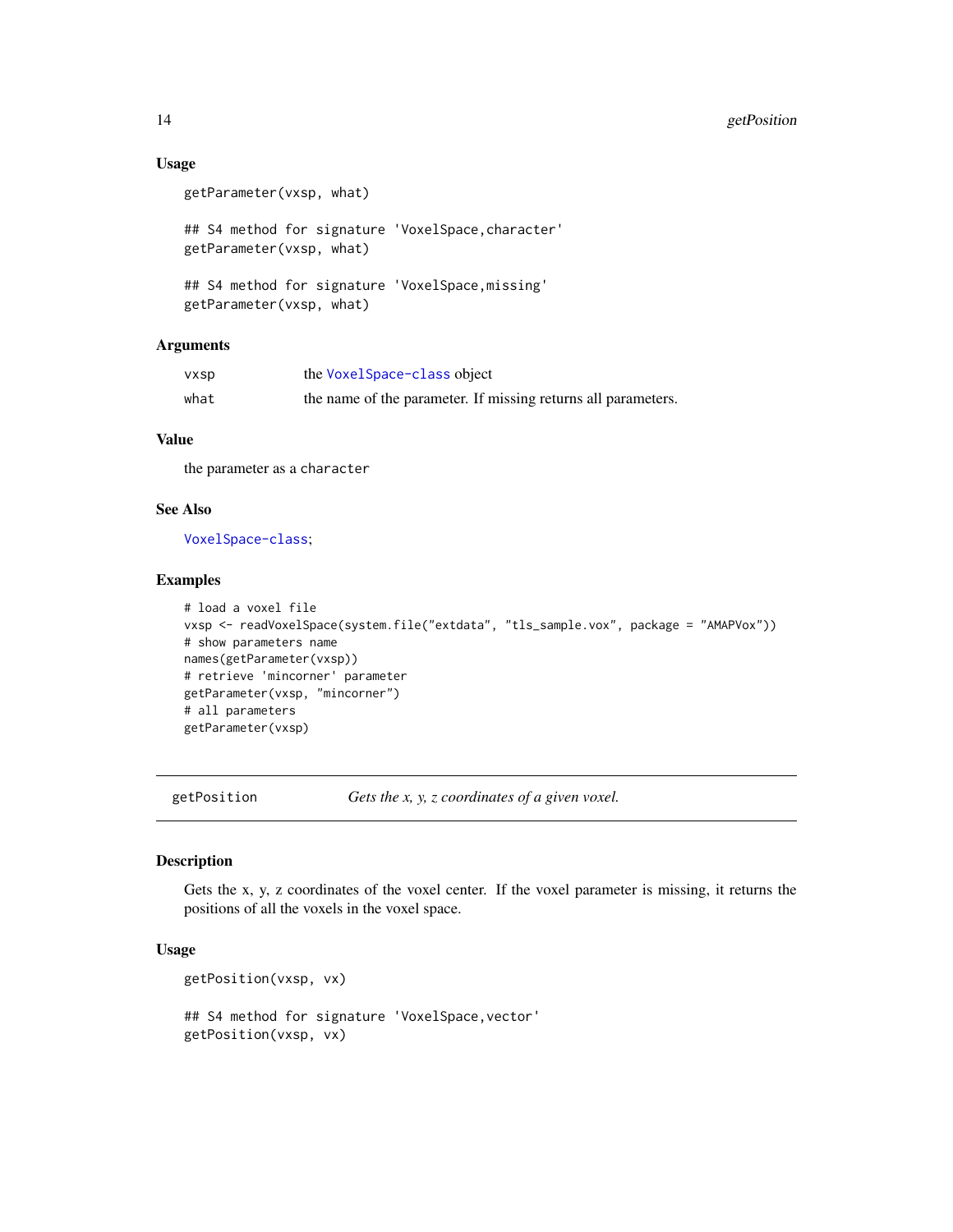#### Usage

```
getParameter(vxsp, what)
```
## S4 method for signature 'VoxelSpace,character' getParameter(vxsp, what)

```
## S4 method for signature 'VoxelSpace,missing'
getParameter(vxsp, what)
```
#### Arguments

| vxsp | the VoxelSpace-class object                                   |
|------|---------------------------------------------------------------|
| what | the name of the parameter. If missing returns all parameters. |

#### Value

the parameter as a character

#### See Also

[VoxelSpace-class](#page-28-1);

#### Examples

```
# load a voxel file
vxsp <- readVoxelSpace(system.file("extdata", "tls_sample.vox", package = "AMAPVox"))
# show parameters name
names(getParameter(vxsp))
# retrieve 'mincorner' parameter
getParameter(vxsp, "mincorner")
# all parameters
getParameter(vxsp)
```
getPosition *Gets the x, y, z coordinates of a given voxel.*

#### Description

Gets the x, y, z coordinates of the voxel center. If the voxel parameter is missing, it returns the positions of all the voxels in the voxel space.

#### Usage

```
getPosition(vxsp, vx)
```

```
## S4 method for signature 'VoxelSpace,vector'
getPosition(vxsp, vx)
```
<span id="page-13-0"></span>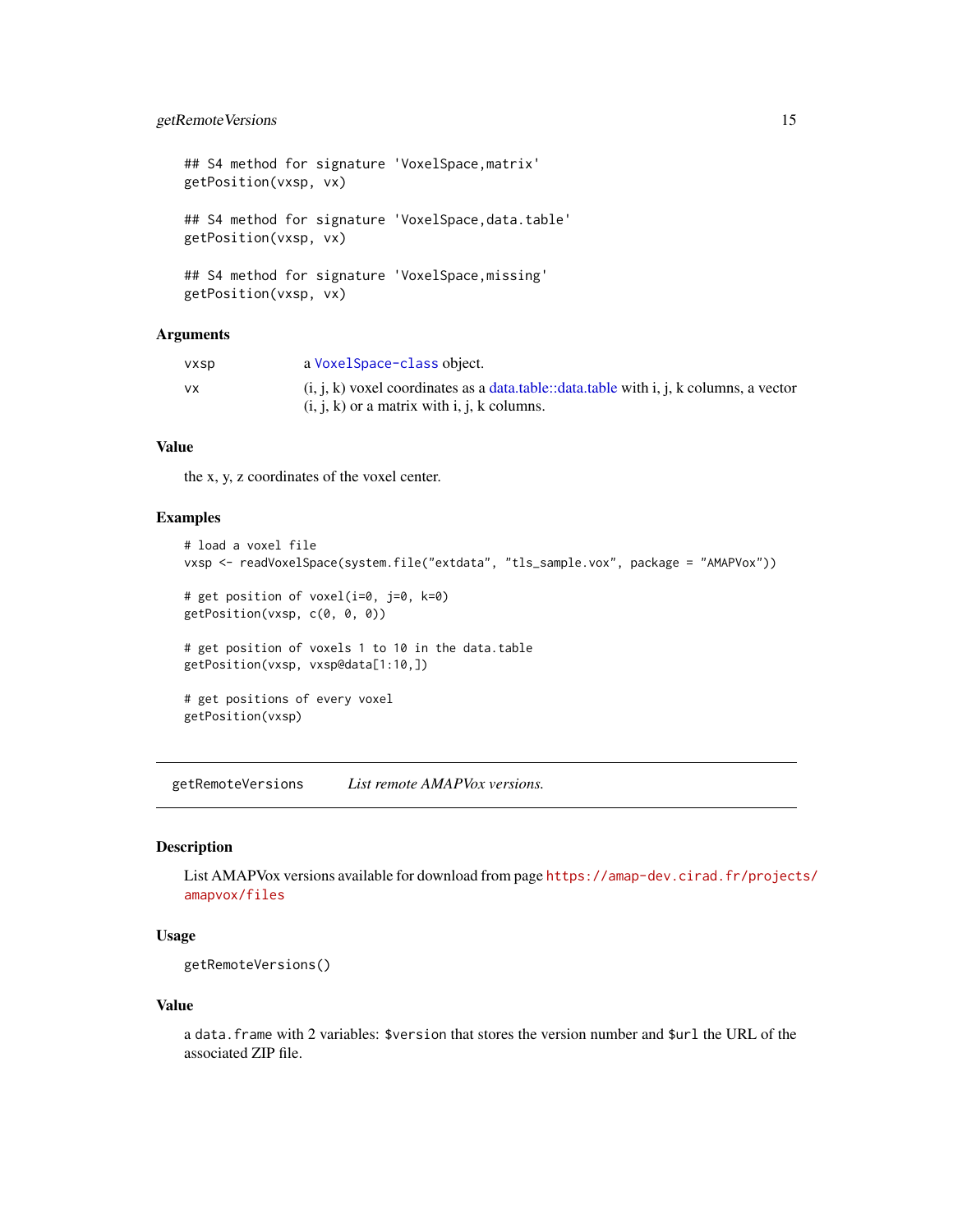#### <span id="page-14-0"></span>getRemoteVersions 15

## S4 method for signature 'VoxelSpace,matrix' getPosition(vxsp, vx) ## S4 method for signature 'VoxelSpace,data.table' getPosition(vxsp, vx) ## S4 method for signature 'VoxelSpace,missing' getPosition(vxsp, vx)

#### Arguments

| vxsp | a VoxelSpace-class object.                                                               |
|------|------------------------------------------------------------------------------------------|
| VX.  | $(i, j, k)$ voxel coordinates as a data table::data table with i, j, k columns, a vector |
|      | $(i, j, k)$ or a matrix with i, j, k columns.                                            |

#### Value

the x, y, z coordinates of the voxel center.

#### Examples

```
# load a voxel file
vxsp <- readVoxelSpace(system.file("extdata", "tls_sample.vox", package = "AMAPVox"))
# get position of voxel(i=0, j=0, k=0)
getPosition(vxsp, c(0, 0, 0))
# get position of voxels 1 to 10 in the data.table
getPosition(vxsp, vxsp@data[1:10,])
# get positions of every voxel
getPosition(vxsp)
```
<span id="page-14-1"></span>getRemoteVersions *List remote AMAPVox versions.*

#### Description

List AMAPVox versions available for download from page [https://amap-dev.cirad.fr/project](https://amap-dev.cirad.fr/projects/amapvox/files)s/ [amapvox/files](https://amap-dev.cirad.fr/projects/amapvox/files)

#### Usage

```
getRemoteVersions()
```
#### Value

a data.frame with 2 variables: \$version that stores the version number and \$url the URL of the associated ZIP file.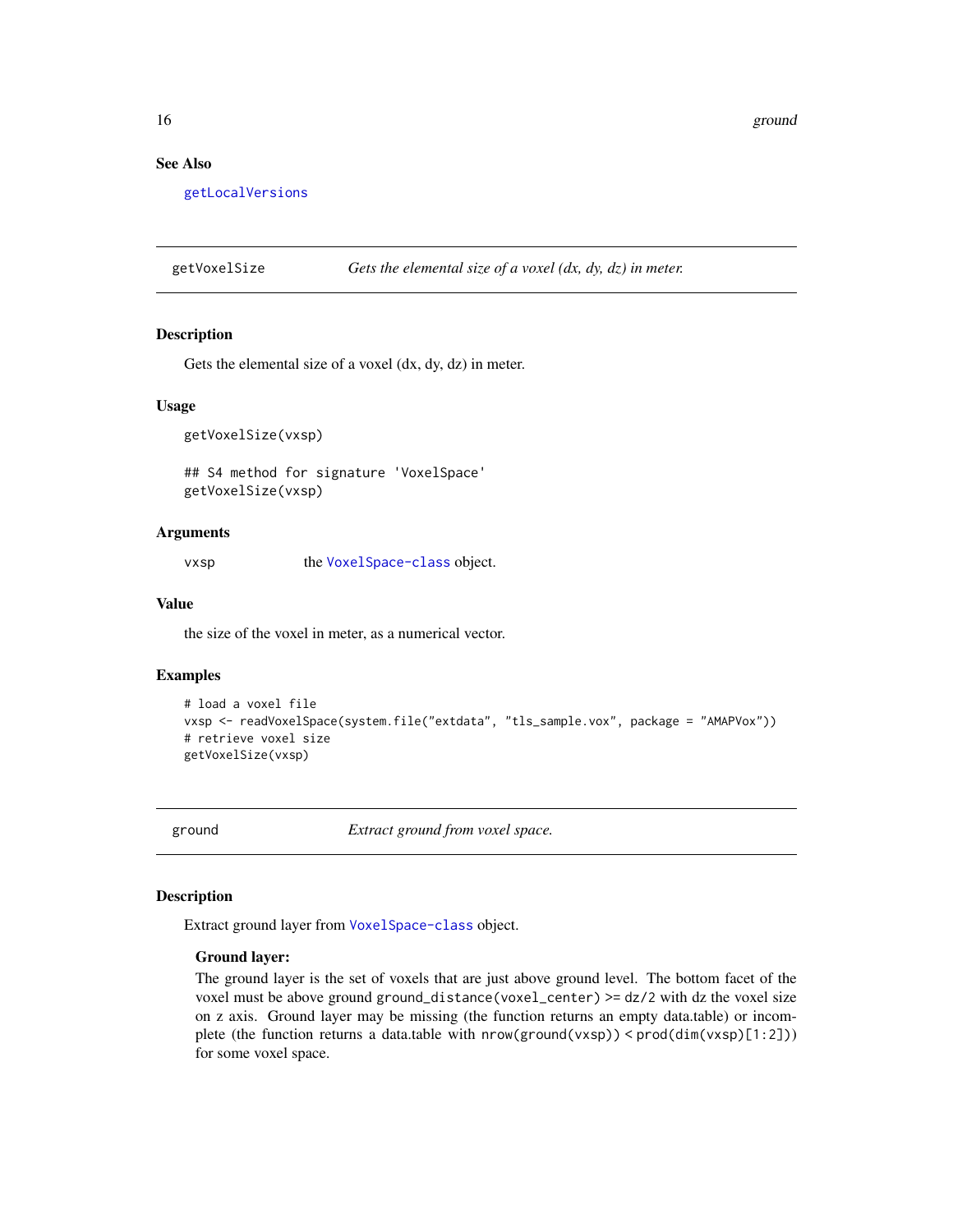<span id="page-15-0"></span>16 ground ground the set of the set of the set of the set of the set of the set of the set of the set of the set of the set of the set of the set of the set of the set of the set of the set of the set of the set of the set

#### See Also

[getLocalVersions](#page-11-1)

getVoxelSize *Gets the elemental size of a voxel (dx, dy, dz) in meter.*

#### Description

Gets the elemental size of a voxel (dx, dy, dz) in meter.

#### Usage

getVoxelSize(vxsp)

## S4 method for signature 'VoxelSpace' getVoxelSize(vxsp)

#### Arguments

vxsp the [VoxelSpace-class](#page-28-1) object.

#### Value

the size of the voxel in meter, as a numerical vector.

#### Examples

```
# load a voxel file
vxsp <- readVoxelSpace(system.file("extdata", "tls_sample.vox", package = "AMAPVox"))
# retrieve voxel size
getVoxelSize(vxsp)
```
<span id="page-15-1"></span>ground *Extract ground from voxel space.*

#### Description

Extract ground layer from [VoxelSpace-class](#page-28-1) object.

#### Ground layer:

The ground layer is the set of voxels that are just above ground level. The bottom facet of the voxel must be above ground ground\_distance(voxel\_center) >= dz/2 with dz the voxel size on z axis. Ground layer may be missing (the function returns an empty data.table) or incomplete (the function returns a data.table with nrow(ground(vxsp)) < prod(dim(vxsp)[1:2])) for some voxel space.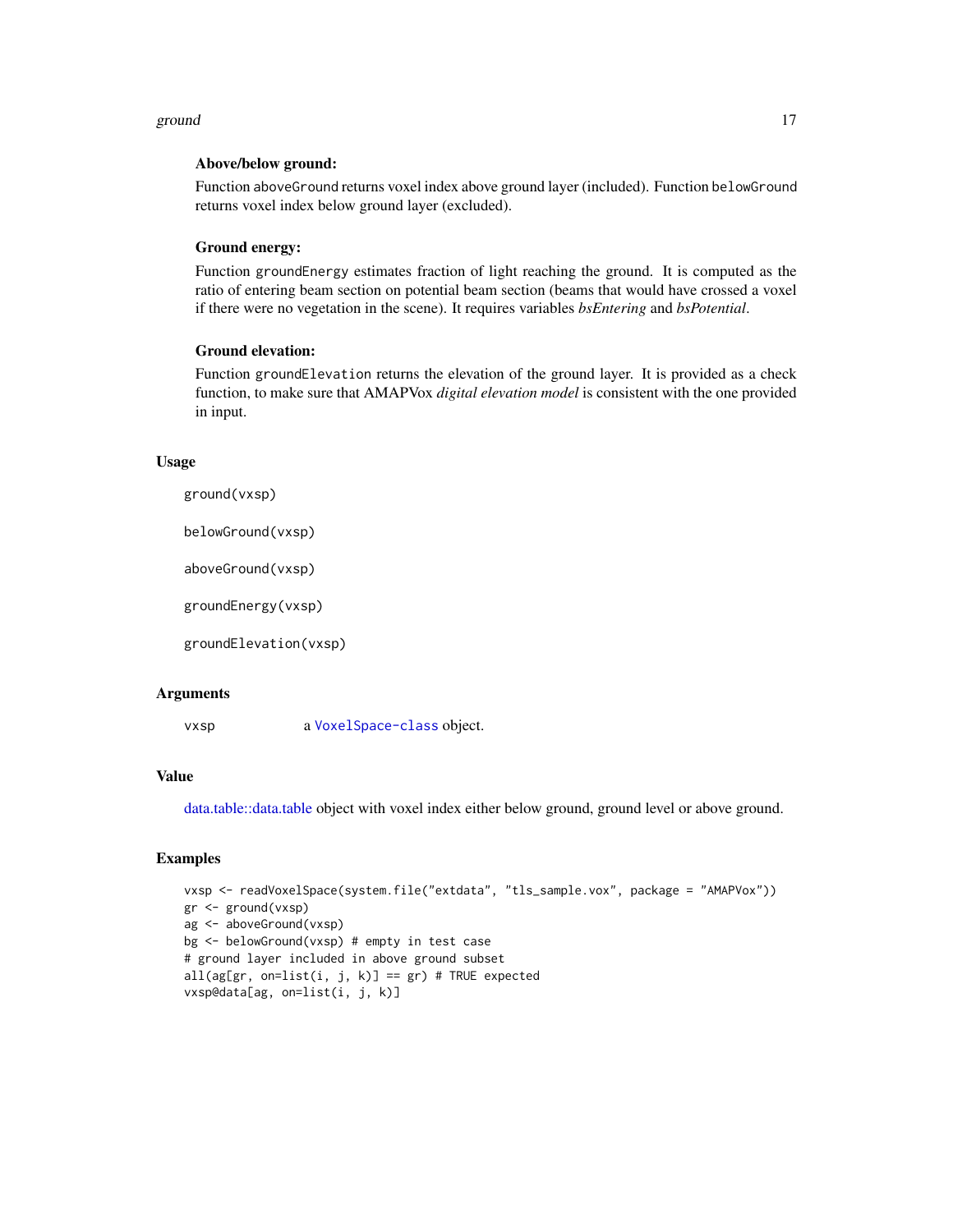#### <span id="page-16-0"></span>ground that the set of the set of the set of the set of the set of the set of the set of the set of the set of the set of the set of the set of the set of the set of the set of the set of the set of the set of the set of t

#### Above/below ground:

Function aboveGround returns voxel index above ground layer (included). Function belowGround returns voxel index below ground layer (excluded).

#### Ground energy:

Function groundEnergy estimates fraction of light reaching the ground. It is computed as the ratio of entering beam section on potential beam section (beams that would have crossed a voxel if there were no vegetation in the scene). It requires variables *bsEntering* and *bsPotential*.

#### Ground elevation:

Function groundElevation returns the elevation of the ground layer. It is provided as a check function, to make sure that AMAPVox *digital elevation model* is consistent with the one provided in input.

#### Usage

```
ground(vxsp)
```
belowGround(vxsp)

aboveGround(vxsp)

groundEnergy(vxsp)

groundElevation(vxsp)

#### Arguments

vxsp a [VoxelSpace-class](#page-28-1) object.

#### Value

[data.table::data.table](#page-0-0) object with voxel index either below ground, ground level or above ground.

#### Examples

```
vxsp <- readVoxelSpace(system.file("extdata", "tls_sample.vox", package = "AMAPVox"))
gr <- ground(vxsp)
ag <- aboveGround(vxsp)
bg <- belowGround(vxsp) # empty in test case
# ground layer included in above ground subset
all(ag[gr, on=list(i, j, k)] == gr) # TRUE expectedvxsp@data[ag, on=list(i, j, k)]
```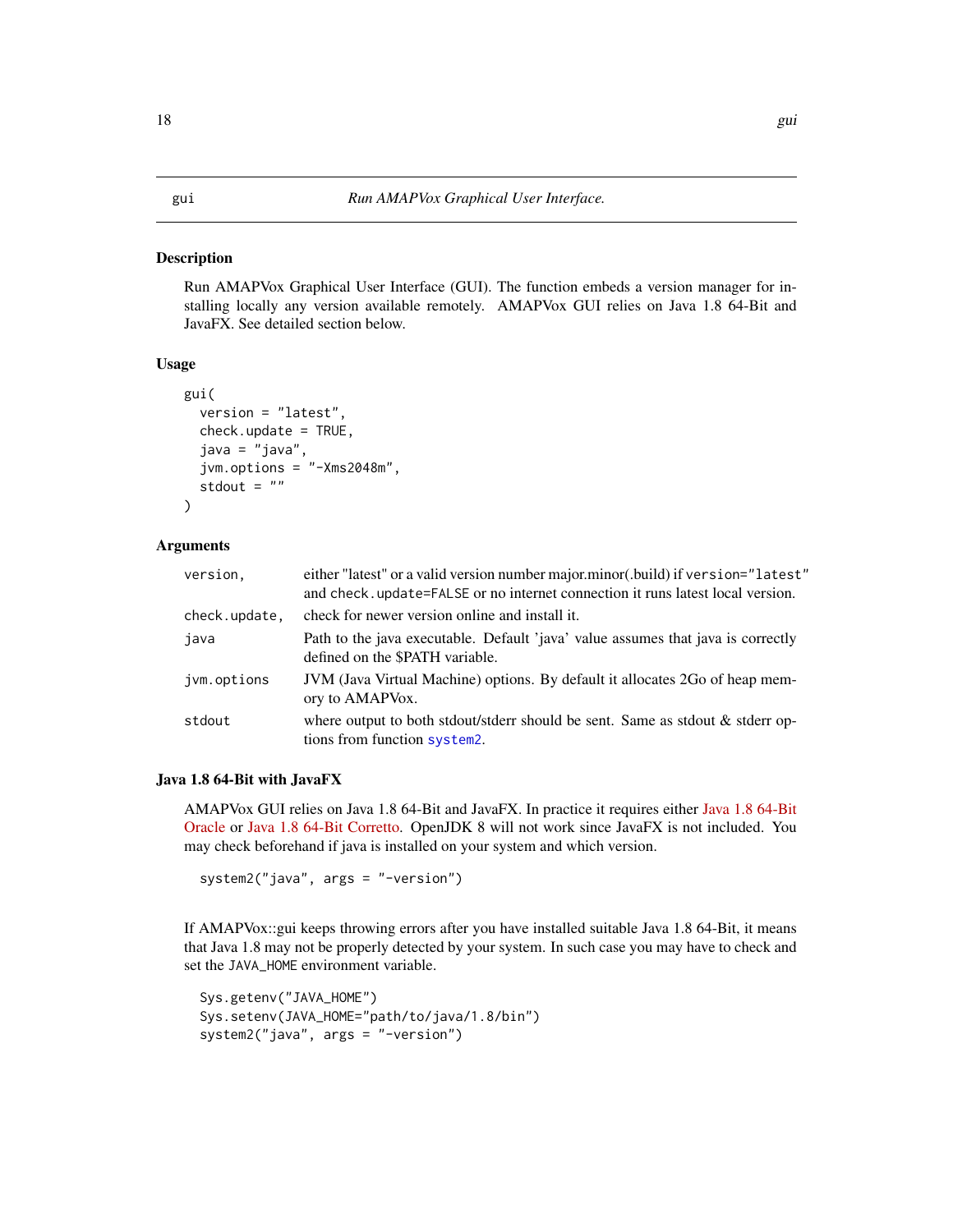#### <span id="page-17-1"></span><span id="page-17-0"></span>Description

Run AMAPVox Graphical User Interface (GUI). The function embeds a version manager for installing locally any version available remotely. AMAPVox GUI relies on Java 1.8 64-Bit and JavaFX. See detailed section below.

#### Usage

```
gui(
  version = "latest",
  check.update = TRUE,java = "java",
  jvm.options = "-Xms2048m",
  stdout = ")
```
#### Arguments

| version.      | either "latest" or a valid version number major.minor(.build) if version="latest"<br>and check, update=FALSE or no internet connection it runs latest local version. |
|---------------|----------------------------------------------------------------------------------------------------------------------------------------------------------------------|
| check.update, | check for newer version online and install it.                                                                                                                       |
| java          | Path to the java executable. Default 'java' value assumes that java is correctly<br>defined on the \$PATH variable.                                                  |
| jvm.options   | JVM (Java Virtual Machine) options. By default it allocates 2Go of heap mem-<br>ory to AMAPVox.                                                                      |
| stdout        | where output to both stdout/stderr should be sent. Same as stdout & stderr op-<br>tions from function system2.                                                       |

#### Java 1.8 64-Bit with JavaFX

AMAPVox GUI relies on Java 1.8 64-Bit and JavaFX. In practice it requires either [Java 1.8 64-Bit](https://java.com/download/) [Oracle](https://java.com/download/) or [Java 1.8 64-Bit Corretto.](https://aws.amazon.com/fr/corretto/) OpenJDK 8 will not work since JavaFX is not included. You may check beforehand if java is installed on your system and which version.

system2("java", args = "-version")

If AMAPVox::gui keeps throwing errors after you have installed suitable Java 1.8 64-Bit, it means that Java 1.8 may not be properly detected by your system. In such case you may have to check and set the JAVA\_HOME environment variable.

```
Sys.getenv("JAVA_HOME")
Sys.setenv(JAVA_HOME="path/to/java/1.8/bin")
system2("java", args = "-version")
```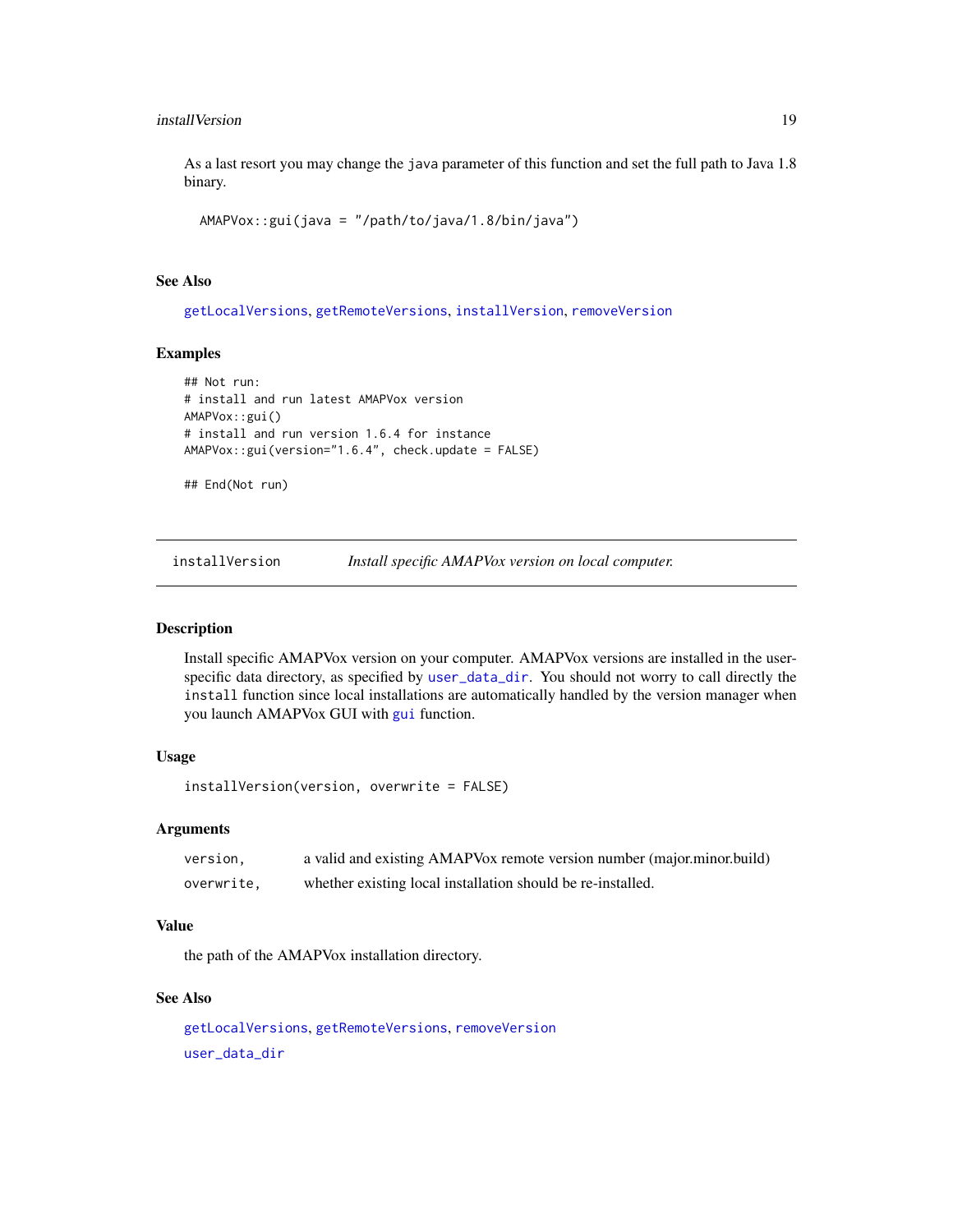#### <span id="page-18-0"></span>installVersion 19

As a last resort you may change the java parameter of this function and set the full path to Java 1.8 binary.

```
AMAPVox::gui(java = "/path/to/java/1.8/bin/java")
```
#### See Also

[getLocalVersions](#page-11-1), [getRemoteVersions](#page-14-1), [installVersion](#page-18-1), [removeVersion](#page-25-1)

#### Examples

```
## Not run:
# install and run latest AMAPVox version
AMAPVox::gui()
# install and run version 1.6.4 for instance
AMAPVox::gui(version="1.6.4", check.update = FALSE)
```
## End(Not run)

<span id="page-18-1"></span>installVersion *Install specific AMAPVox version on local computer.*

#### Description

Install specific AMAPVox version on your computer. AMAPVox versions are installed in the userspecific data directory, as specified by [user\\_data\\_dir](#page-0-0). You should not worry to call directly the install function since local installations are automatically handled by the version manager when you launch AMAPVox GUI with [gui](#page-17-1) function.

#### Usage

```
installVersion(version, overwrite = FALSE)
```
#### Arguments

| version.   | a valid and existing AMAPVox remote version number (major.minor.build) |
|------------|------------------------------------------------------------------------|
| overwrite, | whether existing local installation should be re-installed.            |

#### Value

the path of the AMAPVox installation directory.

#### See Also

[getLocalVersions](#page-11-1), [getRemoteVersions](#page-14-1), [removeVersion](#page-25-1) [user\\_data\\_dir](#page-0-0)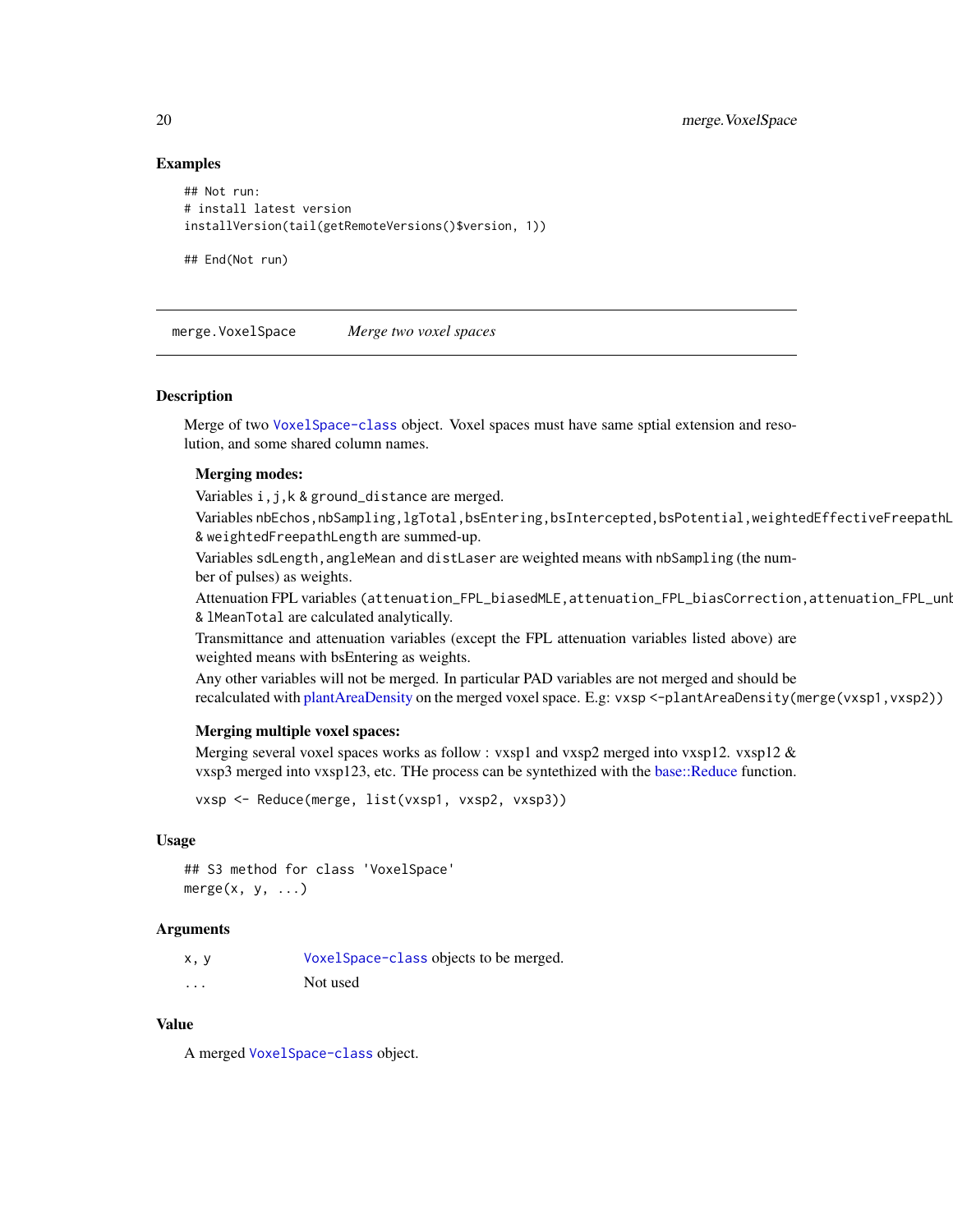#### Examples

```
## Not run:
# install latest version
installVersion(tail(getRemoteVersions()$version, 1))
```
merge.VoxelSpace *Merge two voxel spaces*

#### Description

Merge of two [VoxelSpace-class](#page-28-1) object. Voxel spaces must have same sptial extension and resolution, and some shared column names.

#### Merging modes:

## End(Not run)

Variables i,j,k & ground\_distance are merged.

Variables nbEchos,nbSampling,lgTotal,bsEntering,bsIntercepted,bsPotential,weightedEffectiveFreepathL & weightedFreepathLength are summed-up.

Variables sdLength, angleMean and distLaser are weighted means with nbSampling (the number of pulses) as weights.

Attenuation FPL variables (attenuation\_FPL\_biasedMLE,attenuation\_FPL\_biasCorrection,attenuation\_FPL\_unl & lMeanTotal are calculated analytically.

Transmittance and attenuation variables (except the FPL attenuation variables listed above) are weighted means with bsEntering as weights.

Any other variables will not be merged. In particular PAD variables are not merged and should be recalculated with [plantAreaDensity](#page-20-1) on the merged voxel space. E.g: vxsp <-plantAreaDensity(merge(vxsp1,vxsp2))

#### Merging multiple voxel spaces:

Merging several voxel spaces works as follow : vxsp1 and vxsp2 merged into vxsp12. vxsp12 & vxsp3 merged into vxsp123, etc. THe process can be syntethized with the [base::Reduce](#page-0-0) function.

vxsp <- Reduce(merge, list(vxsp1, vxsp2, vxsp3))

#### Usage

```
## S3 method for class 'VoxelSpace'
merge(x, y, \ldots)
```
#### Arguments

| x, y     | VoxelSpace-class objects to be merged. |
|----------|----------------------------------------|
| $\cdots$ | Not used                               |

#### Value

A merged [VoxelSpace-class](#page-28-1) object.

<span id="page-19-0"></span>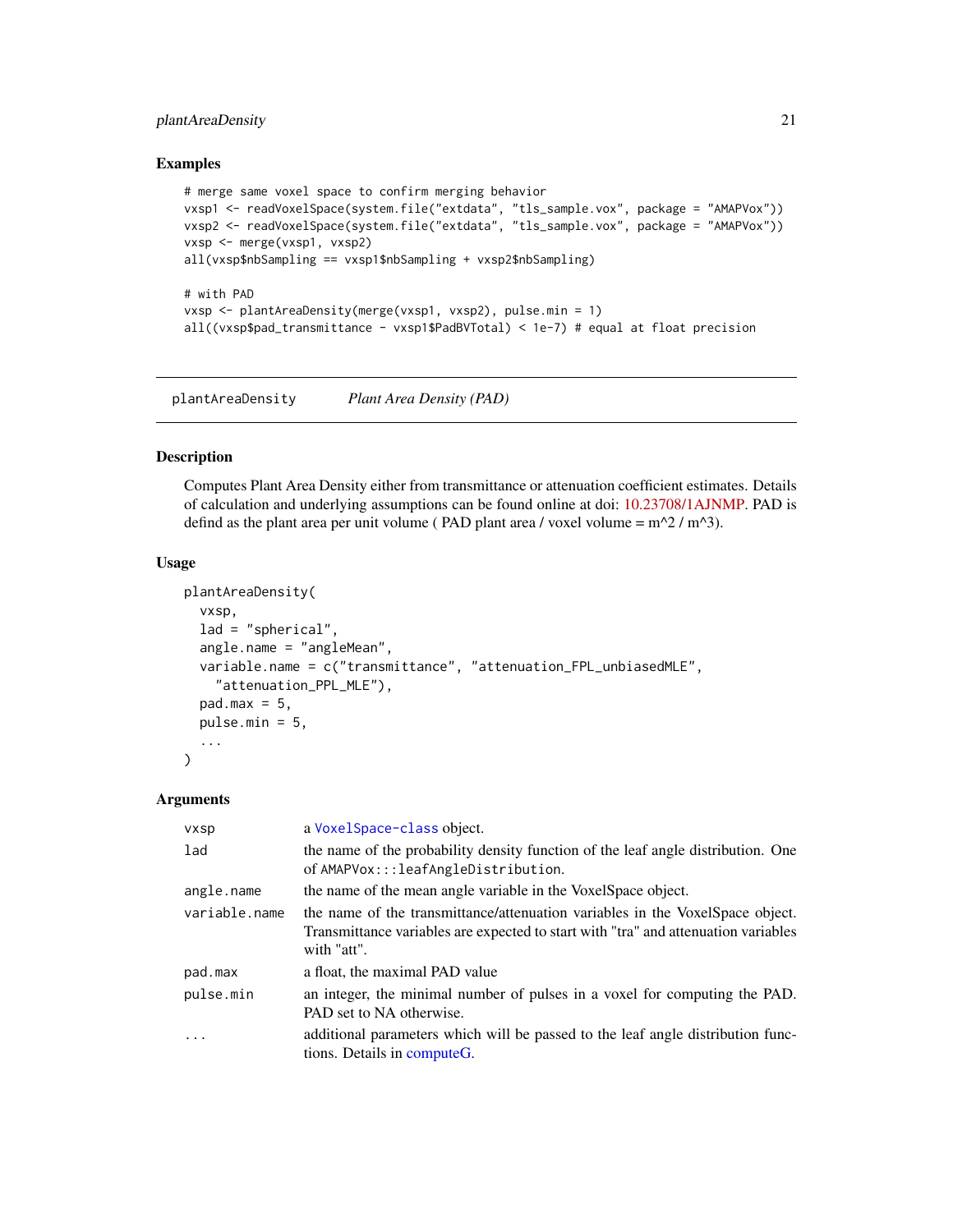#### <span id="page-20-0"></span>plantAreaDensity 21

#### Examples

```
# merge same voxel space to confirm merging behavior
vxsp1 <- readVoxelSpace(system.file("extdata", "tls_sample.vox", package = "AMAPVox"))
vxsp2 <- readVoxelSpace(system.file("extdata", "tls_sample.vox", package = "AMAPVox"))
vxsp <- merge(vxsp1, vxsp2)
all(vxsp$nbSampling == vxsp1$nbSampling + vxsp2$nbSampling)
# with PAD
vxsp <- plantAreaDensity(merge(vxsp1, vxsp2), pulse.min = 1)
all((vxsp$pad_transmittance - vxsp1$PadBVTotal) < 1e-7) # equal at float precision
```
<span id="page-20-1"></span>plantAreaDensity *Plant Area Density (PAD)*

#### Description

Computes Plant Area Density either from transmittance or attenuation coefficient estimates. Details of calculation and underlying assumptions can be found online at doi: [10.23708/1AJNMP.](https://doi.org/10.23708/1AJNMP) PAD is defind as the plant area per unit volume ( PAD plant area / voxel volume =  $m^2 / m^3$ ).

#### Usage

```
plantAreaDensity(
  vxsp,
  lad = "spherical",
  angle.name = "angleMean",
  variable.name = c("transmittance", "attenuation_FPL_unbiasedMLE",
    "attenuation_PPL_MLE"),
  pad.max = 5,
  pulse.min = 5,
  ...
\lambda
```
#### Arguments

| <b>vxsp</b>   | a VoxelSpace-class object.                                                                                                                                                         |
|---------------|------------------------------------------------------------------------------------------------------------------------------------------------------------------------------------|
| lad           | the name of the probability density function of the leaf angle distribution. One<br>of AMAPVox:::leafAngleDistribution.                                                            |
| angle.name    | the name of the mean angle variable in the VoxelSpace object.                                                                                                                      |
| variable.name | the name of the transmittance/attenuation variables in the VoxelSpace object.<br>Transmittance variables are expected to start with "tra" and attenuation variables<br>with "att". |
| pad.max       | a float, the maximal PAD value                                                                                                                                                     |
| pulse.min     | an integer, the minimal number of pulses in a voxel for computing the PAD.<br>PAD set to NA otherwise.                                                                             |
| $\ddotsc$     | additional parameters which will be passed to the leaf angle distribution func-<br>tions. Details in computeG.                                                                     |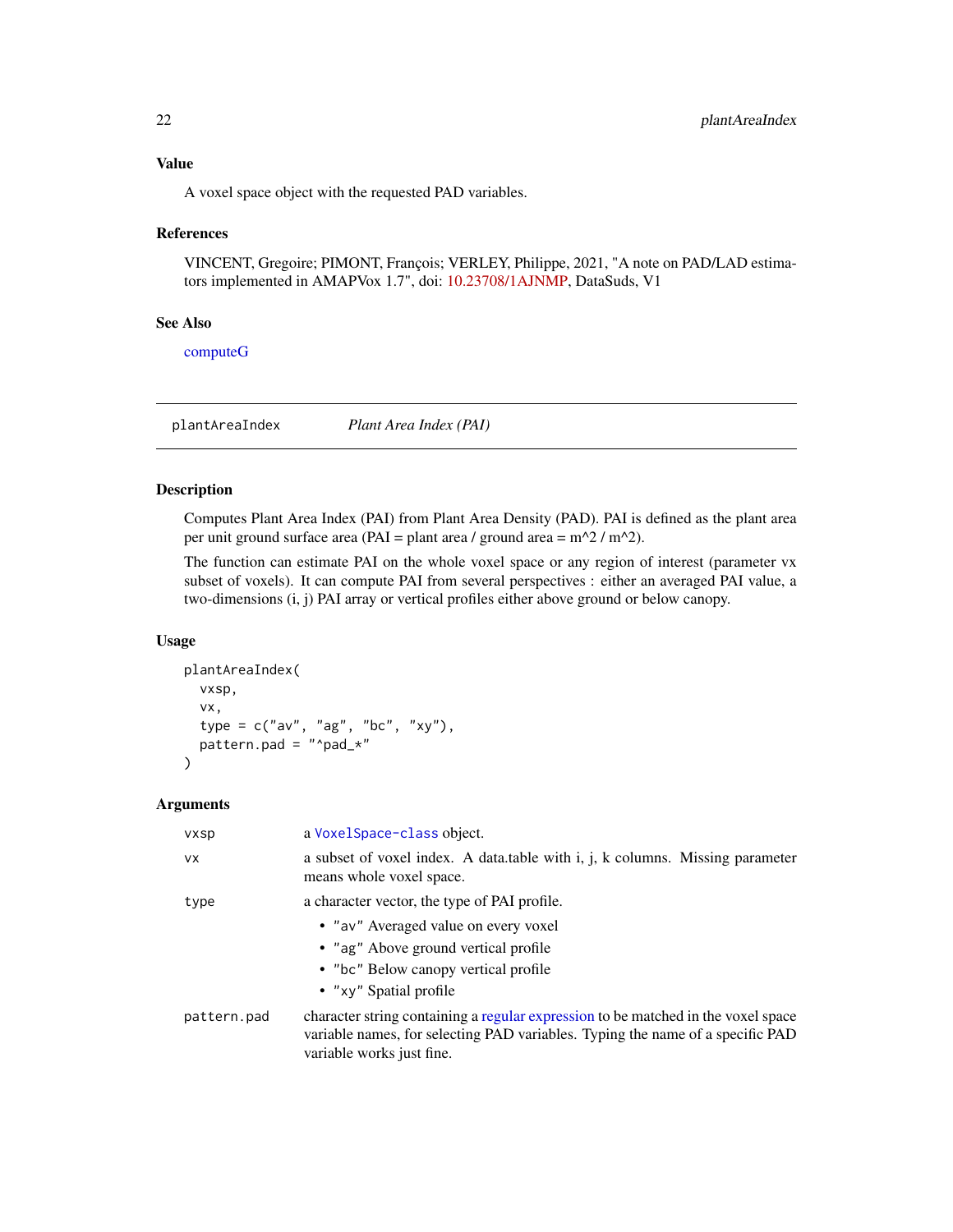<span id="page-21-0"></span>A voxel space object with the requested PAD variables.

#### References

VINCENT, Gregoire; PIMONT, François; VERLEY, Philippe, 2021, "A note on PAD/LAD estimators implemented in AMAPVox 1.7", doi: [10.23708/1AJNMP,](https://doi.org/10.23708/1AJNMP) DataSuds, V1

#### See Also

[computeG](#page-5-1)

plantAreaIndex *Plant Area Index (PAI)*

#### Description

Computes Plant Area Index (PAI) from Plant Area Density (PAD). PAI is defined as the plant area per unit ground surface area (PAI = plant area / ground area =  $m^2 / m^2$ ).

The function can estimate PAI on the whole voxel space or any region of interest (parameter vx subset of voxels). It can compute PAI from several perspectives : either an averaged PAI value, a two-dimensions (i, j) PAI array or vertical profiles either above ground or below canopy.

#### Usage

```
plantAreaIndex(
  vxsp,
  vx,
  type = c("av", "ag", "bc", "xy"),
  pattern.pad = "^pad_*"\mathcal{E}
```
#### Arguments

| <b>VXSD</b> | a Voxel Space-class object.                                                                                                                                                                      |  |
|-------------|--------------------------------------------------------------------------------------------------------------------------------------------------------------------------------------------------|--|
| VX.         | a subset of voxel index. A data table with i, j, k columns. Missing parameter<br>means whole voxel space.                                                                                        |  |
| type        | a character vector, the type of PAI profile.                                                                                                                                                     |  |
|             | • "av" Averaged value on every voxel<br>• "ag" Above ground vertical profile<br>• "bc" Below canopy vertical profile<br>• "xy" Spatial profile                                                   |  |
| pattern.pad | character string containing a regular expression to be matched in the voxel space<br>variable names, for selecting PAD variables. Typing the name of a specific PAD<br>variable works just fine. |  |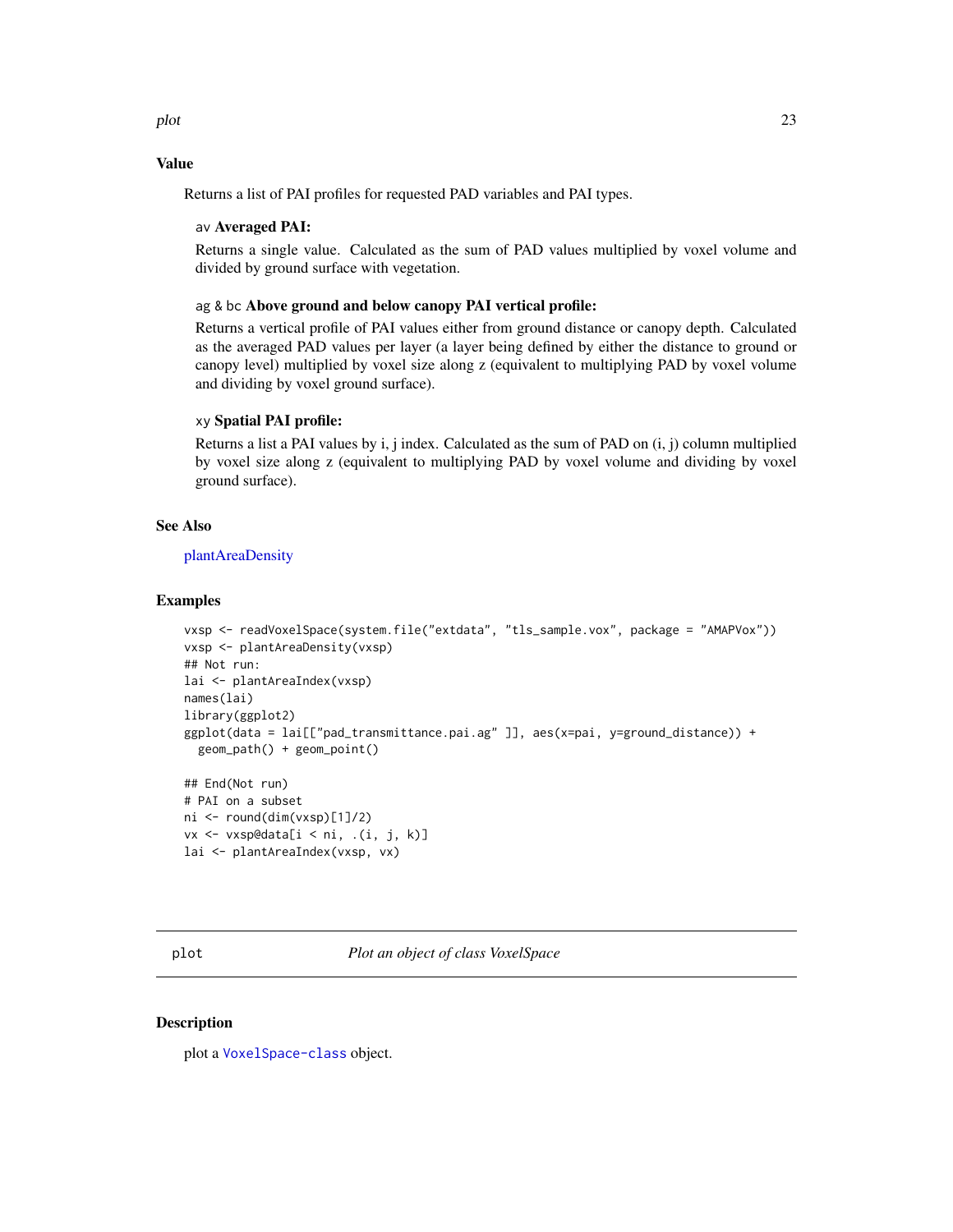<span id="page-22-0"></span>plot the contract of the contract of the contract of the contract of the contract of the contract of the contract of the contract of the contract of the contract of the contract of the contract of the contract of the contr

#### Value

Returns a list of PAI profiles for requested PAD variables and PAI types.

#### av Averaged PAI:

Returns a single value. Calculated as the sum of PAD values multiplied by voxel volume and divided by ground surface with vegetation.

#### ag & bc Above ground and below canopy PAI vertical profile:

Returns a vertical profile of PAI values either from ground distance or canopy depth. Calculated as the averaged PAD values per layer (a layer being defined by either the distance to ground or canopy level) multiplied by voxel size along z (equivalent to multiplying PAD by voxel volume and dividing by voxel ground surface).

#### xy Spatial PAI profile:

Returns a list a PAI values by i, j index. Calculated as the sum of PAD on (i, j) column multiplied by voxel size along z (equivalent to multiplying PAD by voxel volume and dividing by voxel ground surface).

#### See Also

[plantAreaDensity](#page-20-1)

#### **Examples**

```
vxsp <- readVoxelSpace(system.file("extdata", "tls_sample.vox", package = "AMAPVox"))
vxsp <- plantAreaDensity(vxsp)
## Not run:
lai <- plantAreaIndex(vxsp)
names(lai)
library(ggplot2)
ggplot(data = lai[["pad_transmittance.pai.ag" ]], aes(x=pai, y=ground_distance)) +
  geom_path() + geom_point()
## End(Not run)
# PAI on a subset
ni <- round(dim(vxsp)[1]/2)
vx <- vxsp@data[i < ni, .(i, j, k)]
lai <- plantAreaIndex(vxsp, vx)
```
#### **Description**

plot a [VoxelSpace-class](#page-28-1) object.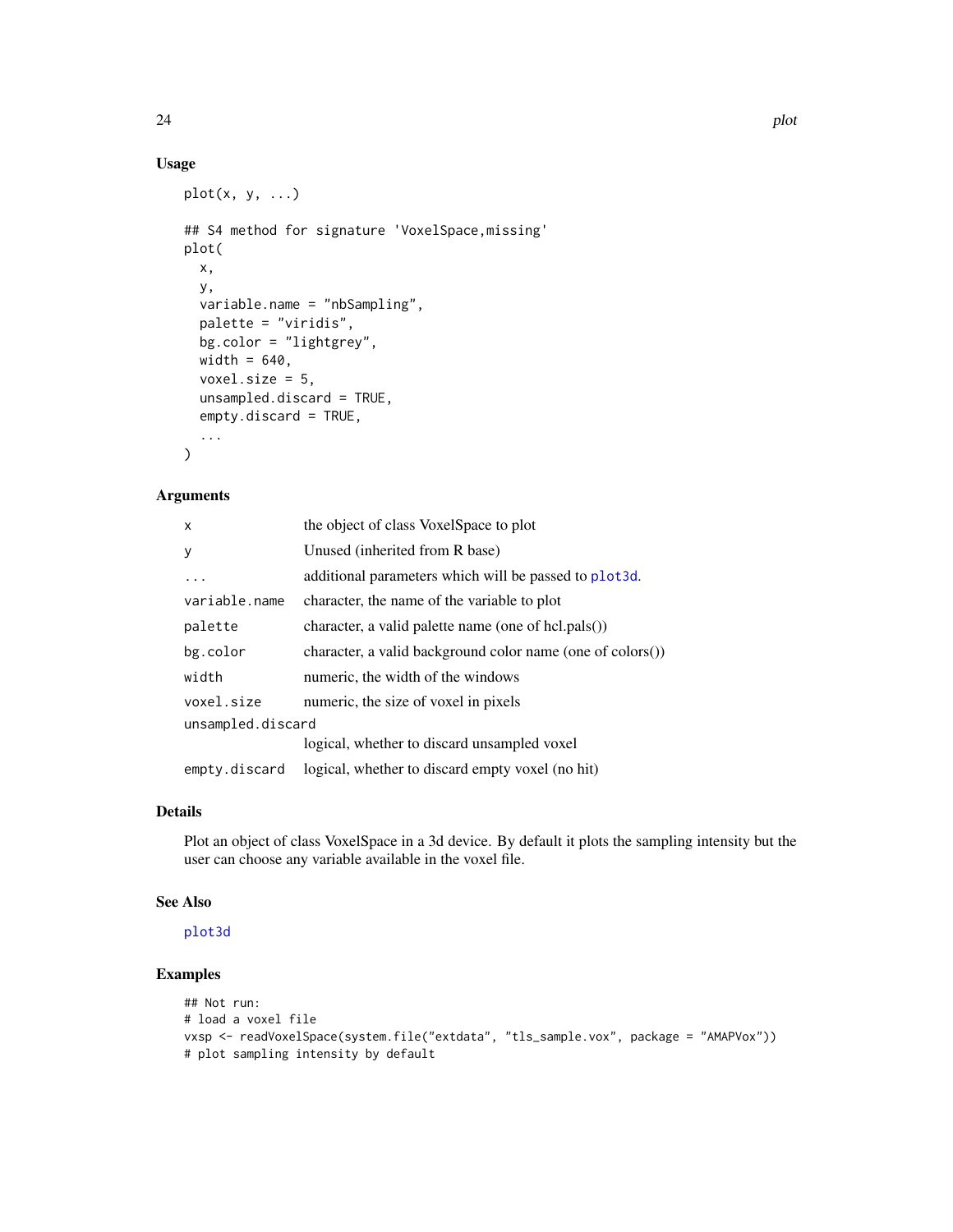#### Usage

```
plot(x, y, ...)
## S4 method for signature 'VoxelSpace,missing'
plot(
 x,
 y,
 variable.name = "nbSampling",
 palette = "viridis",
 bg.color = "lightgrey",
 width = 640,
 voxel.size = 5,
 unsampled.discard = TRUE,
  empty.discard = TRUE,
  ...
)
```
#### Arguments

| X                 | the object of class VoxelSpace to plot                     |  |
|-------------------|------------------------------------------------------------|--|
| У                 | Unused (inherited from R base)                             |  |
| $\ddots$ .        | additional parameters which will be passed to plot 3d.     |  |
| variable.name     | character, the name of the variable to plot                |  |
| palette           | character, a valid palette name (one of hcl.pals())        |  |
| bg.color          | character, a valid background color name (one of colors()) |  |
| width             | numeric, the width of the windows                          |  |
| voxel.size        | numeric, the size of voxel in pixels                       |  |
| unsampled.discard |                                                            |  |
|                   | logical, whether to discard unsampled voxel                |  |
| empty.discard     | logical, whether to discard empty voxel (no hit)           |  |

#### Details

Plot an object of class VoxelSpace in a 3d device. By default it plots the sampling intensity but the user can choose any variable available in the voxel file.

#### See Also

[plot3d](#page-0-0)

#### Examples

```
## Not run:
# load a voxel file
vxsp <- readVoxelSpace(system.file("extdata", "tls_sample.vox", package = "AMAPVox"))
# plot sampling intensity by default
```
<span id="page-23-0"></span>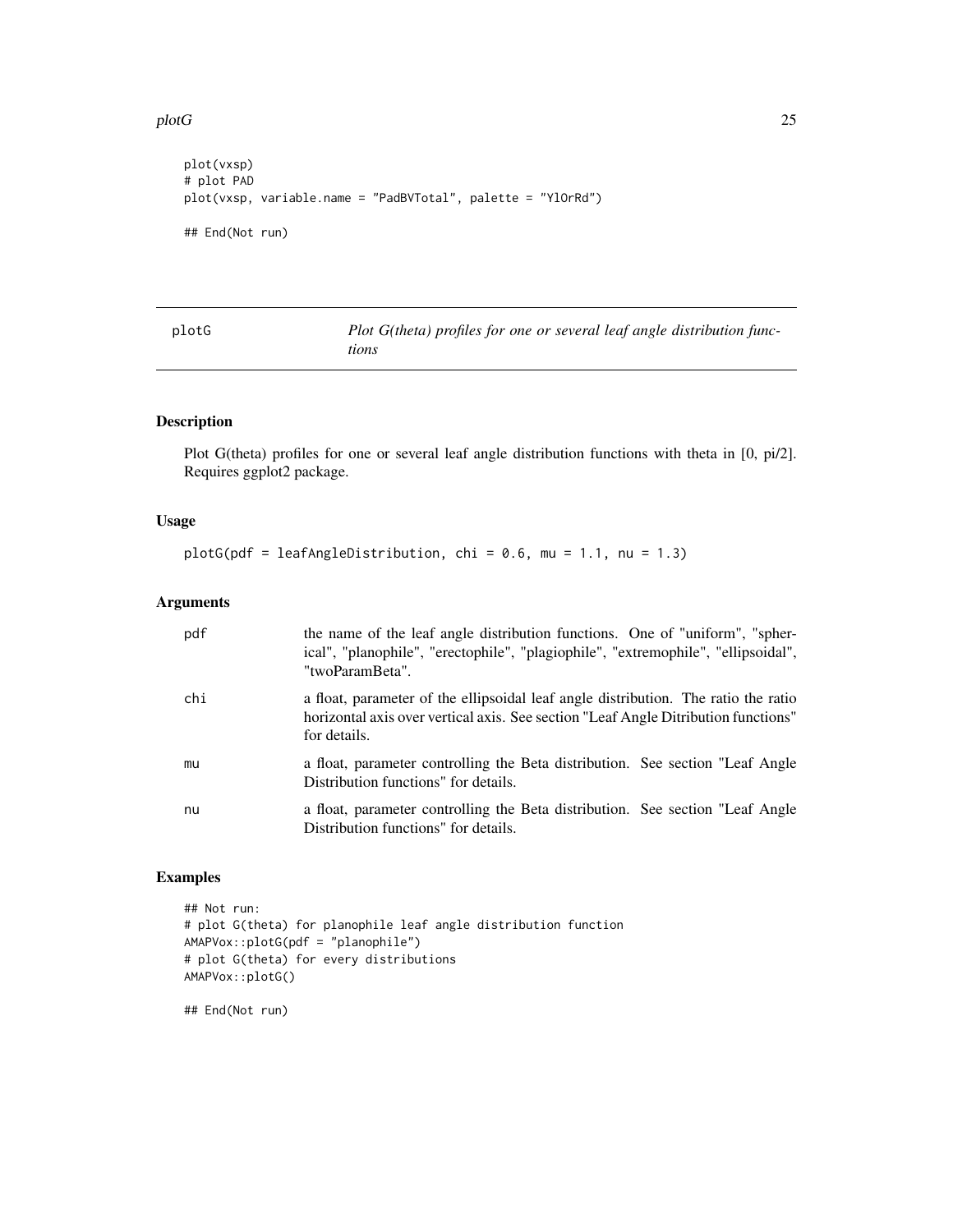<span id="page-24-0"></span> $p$ lotG 25

```
plot(vxsp)
# plot PAD
plot(vxsp, variable.name = "PadBVTotal", palette = "YlOrRd")
## End(Not run)
```
<span id="page-24-1"></span>

| plotG | Plot G(theta) profiles for one or several leaf angle distribution func- |
|-------|-------------------------------------------------------------------------|
|       | tions                                                                   |

#### Description

Plot G(theta) profiles for one or several leaf angle distribution functions with theta in [0, pi/2]. Requires ggplot2 package.

#### Usage

plotG(pdf = leafAngleDistribution, chi =  $0.6$ , mu =  $1.1$ , nu =  $1.3$ )

#### Arguments

| pdf | the name of the leaf angle distribution functions. One of "uniform", "spher-<br>ical", "planophile", "erectophile", "plagiophile", "extremophile", "ellipsoidal",<br>"twoParamBeta".     |
|-----|------------------------------------------------------------------------------------------------------------------------------------------------------------------------------------------|
| chi | a float, parameter of the ellipsoidal leaf angle distribution. The ratio the ratio<br>horizontal axis over vertical axis. See section "Leaf Angle Ditribution functions"<br>for details. |
| mu  | a float, parameter controlling the Beta distribution. See section "Leaf Angle"<br>Distribution functions" for details.                                                                   |
| nu  | a float, parameter controlling the Beta distribution. See section "Leaf Angle"<br>Distribution functions" for details.                                                                   |

#### Examples

```
## Not run:
# plot G(theta) for planophile leaf angle distribution function
AMAPVox::plotG(pdf = "planophile")
# plot G(theta) for every distributions
AMAPVox::plotG()
```
## End(Not run)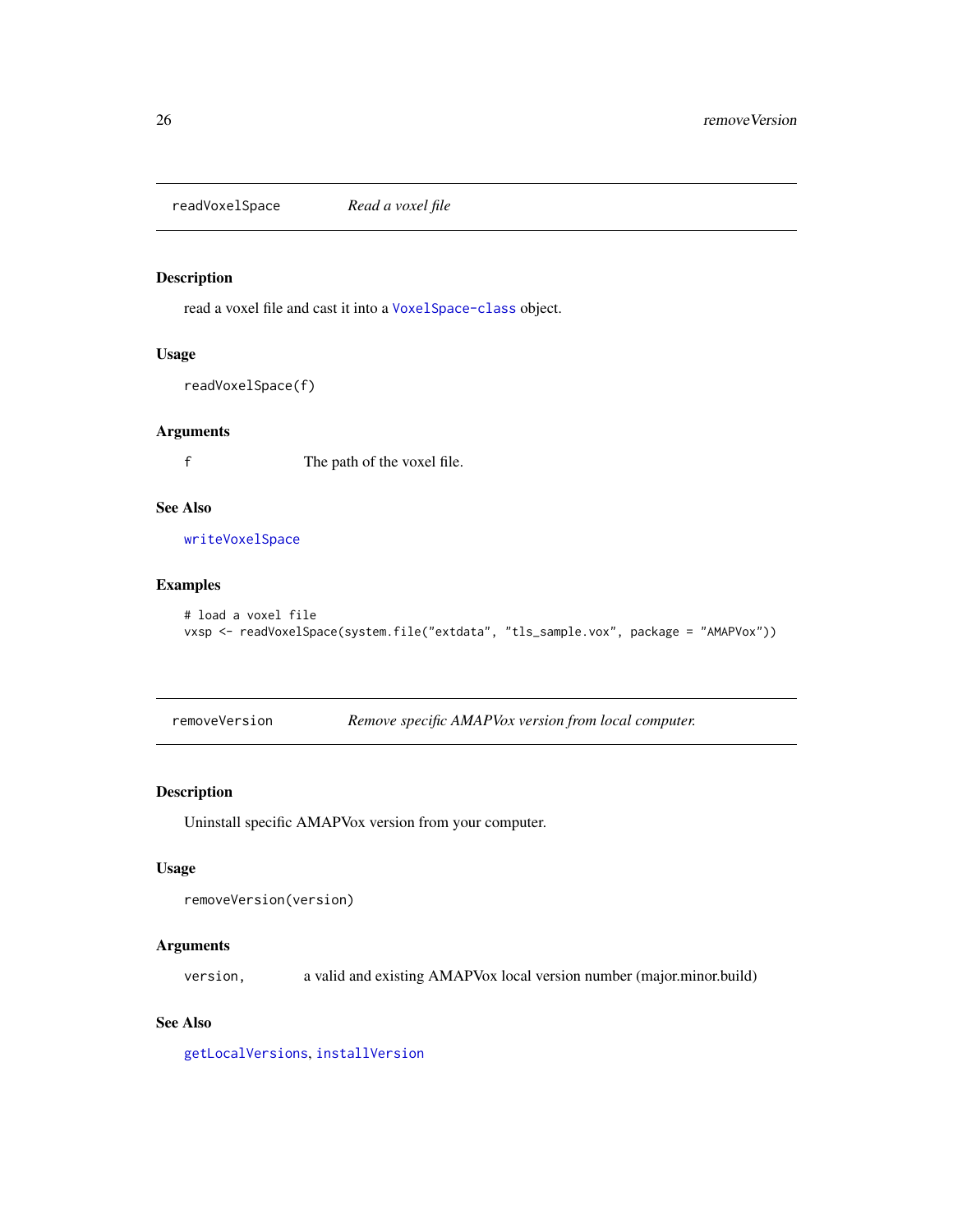<span id="page-25-2"></span><span id="page-25-0"></span>readVoxelSpace *Read a voxel file*

#### Description

read a voxel file and cast it into a [VoxelSpace-class](#page-28-1) object.

#### Usage

readVoxelSpace(f)

#### Arguments

f The path of the voxel file.

### See Also

[writeVoxelSpace](#page-28-2)

#### Examples

```
# load a voxel file
vxsp <- readVoxelSpace(system.file("extdata", "tls_sample.vox", package = "AMAPVox"))
```
<span id="page-25-1"></span>removeVersion *Remove specific AMAPVox version from local computer.*

#### Description

Uninstall specific AMAPVox version from your computer.

#### Usage

```
removeVersion(version)
```
#### Arguments

version, a valid and existing AMAPVox local version number (major.minor.build)

#### See Also

[getLocalVersions](#page-11-1), [installVersion](#page-18-1)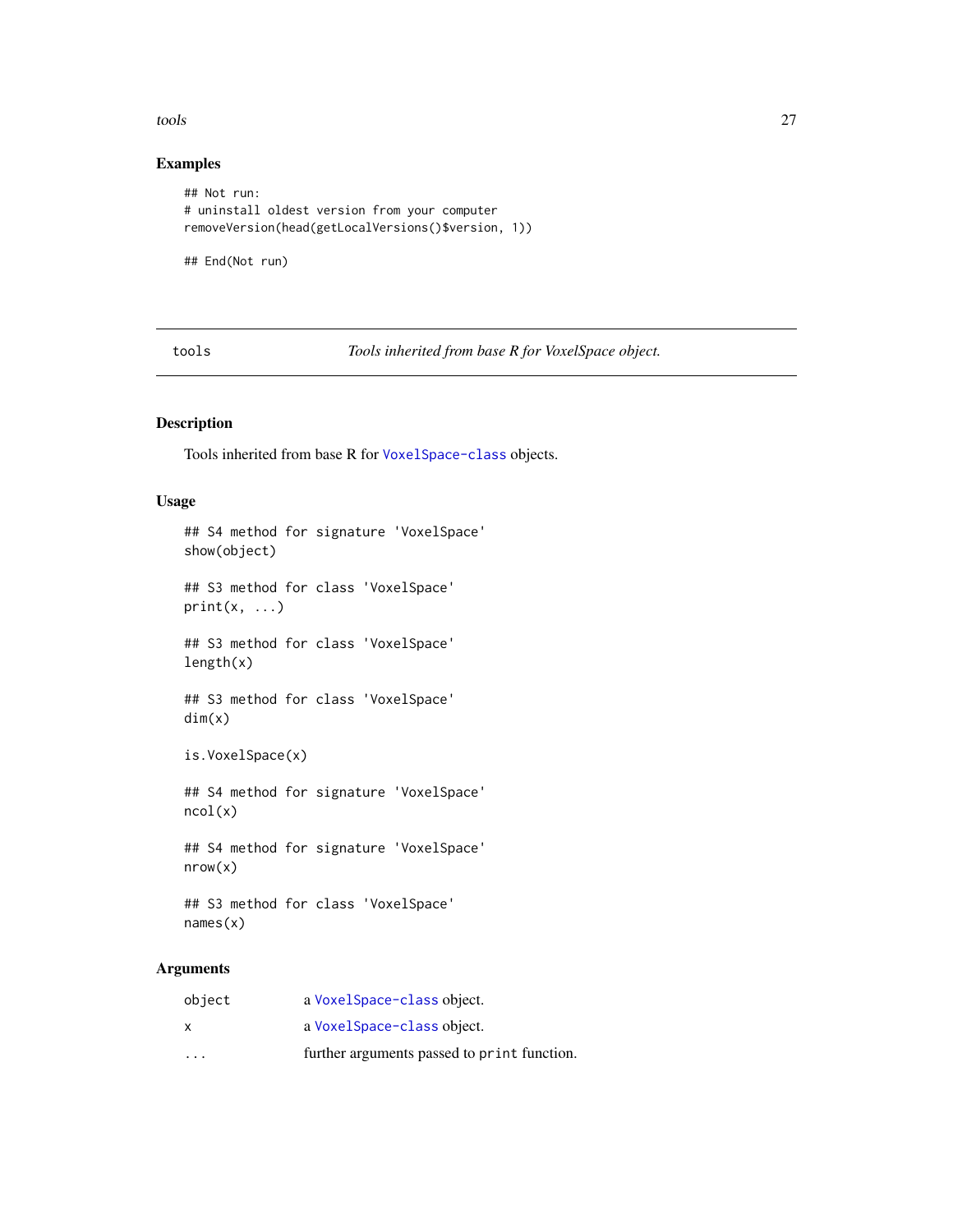<span id="page-26-0"></span>tools 27

#### Examples

```
## Not run:
# uninstall oldest version from your computer
removeVersion(head(getLocalVersions()$version, 1))
```
## End(Not run)

tools *Tools inherited from base R for VoxelSpace object.*

#### Description

Tools inherited from base R for [VoxelSpace-class](#page-28-1) objects.

#### Usage

```
## S4 method for signature 'VoxelSpace'
show(object)
## S3 method for class 'VoxelSpace'
print(x, \ldots)## S3 method for class 'VoxelSpace'
length(x)
## S3 method for class 'VoxelSpace'
dim(x)
is.VoxelSpace(x)
## S4 method for signature 'VoxelSpace'
ncol(x)
## S4 method for signature 'VoxelSpace'
nrow(x)
## S3 method for class 'VoxelSpace'
names(x)
```
#### Arguments

| X                       | a Voxel Space-class object.                 |
|-------------------------|---------------------------------------------|
| $\cdot$ $\cdot$ $\cdot$ | further arguments passed to print function. |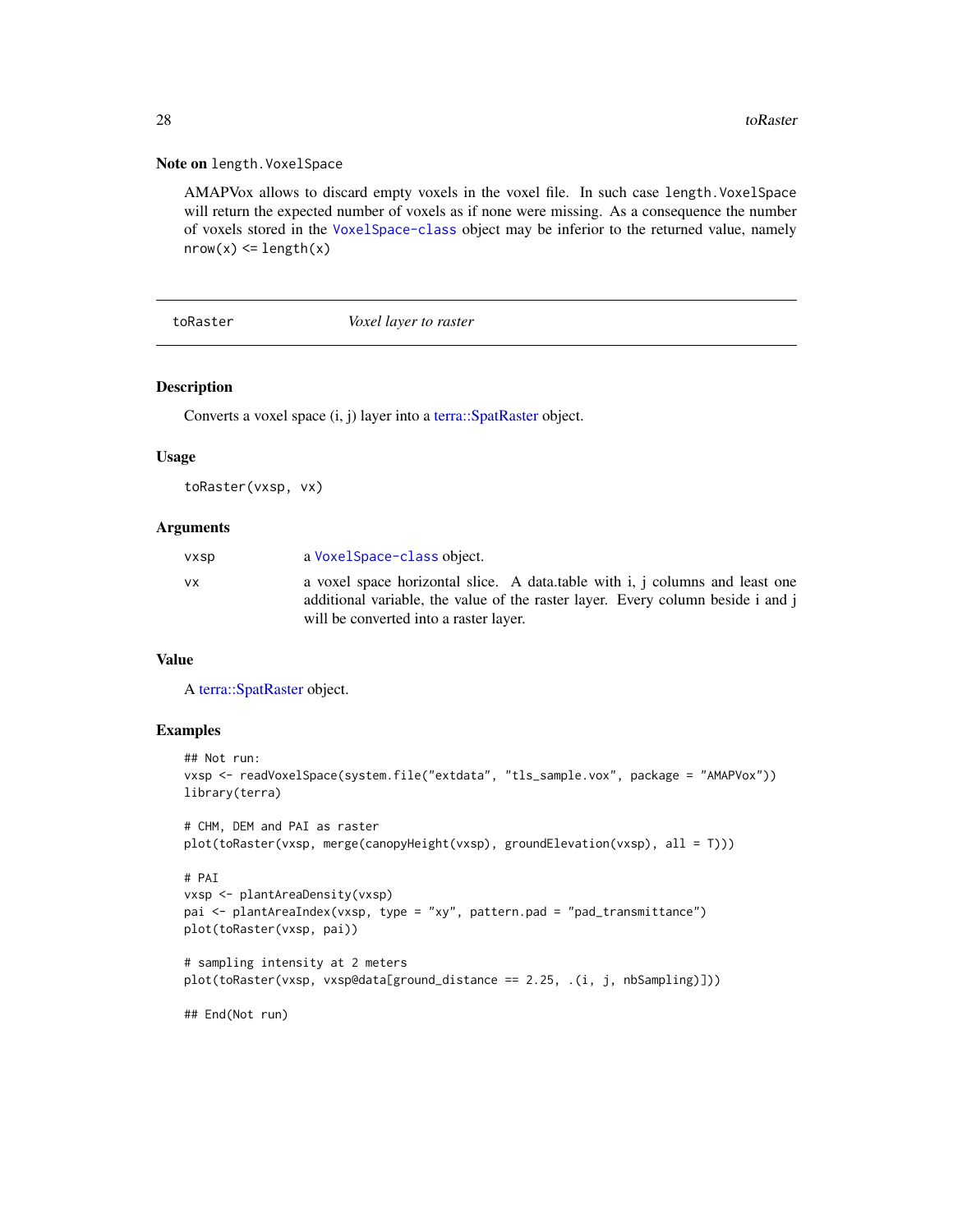#### Note on length.VoxelSpace

AMAPVox allows to discard empty voxels in the voxel file. In such case length.VoxelSpace will return the expected number of voxels as if none were missing. As a consequence the number of voxels stored in the [VoxelSpace-class](#page-28-1) object may be inferior to the returned value, namely  $nrow(x) \leq length(x)$ 

#### toRaster *Voxel layer to raster*

#### Description

Converts a voxel space (i, j) layer into a [terra::SpatRaster](#page-0-0) object.

#### Usage

toRaster(vxsp, vx)

#### Arguments

| <b>VXSD</b> | a Voxel Space-class object.                                                                                                                                                                               |
|-------------|-----------------------------------------------------------------------------------------------------------------------------------------------------------------------------------------------------------|
| VX.         | a voxel space horizontal slice. A data table with i, j columns and least one<br>additional variable, the value of the raster layer. Every column beside i and j<br>will be converted into a raster layer. |

#### Value

A [terra::SpatRaster](#page-0-0) object.

#### Examples

```
## Not run:
vxsp <- readVoxelSpace(system.file("extdata", "tls_sample.vox", package = "AMAPVox"))
library(terra)
# CHM, DEM and PAI as raster
plot(toRaster(vxsp, merge(canopyHeight(vxsp), groundElevation(vxsp), all = T)))
# PAI
vxsp <- plantAreaDensity(vxsp)
pai <- plantAreaIndex(vxsp, type = "xy", pattern.pad = "pad_transmittance")
plot(toRaster(vxsp, pai))
# sampling intensity at 2 meters
plot(toRaster(vxsp, vxsp@data[ground_distance == 2.25, .(i, j, nbSampling)]))
## End(Not run)
```
<span id="page-27-0"></span>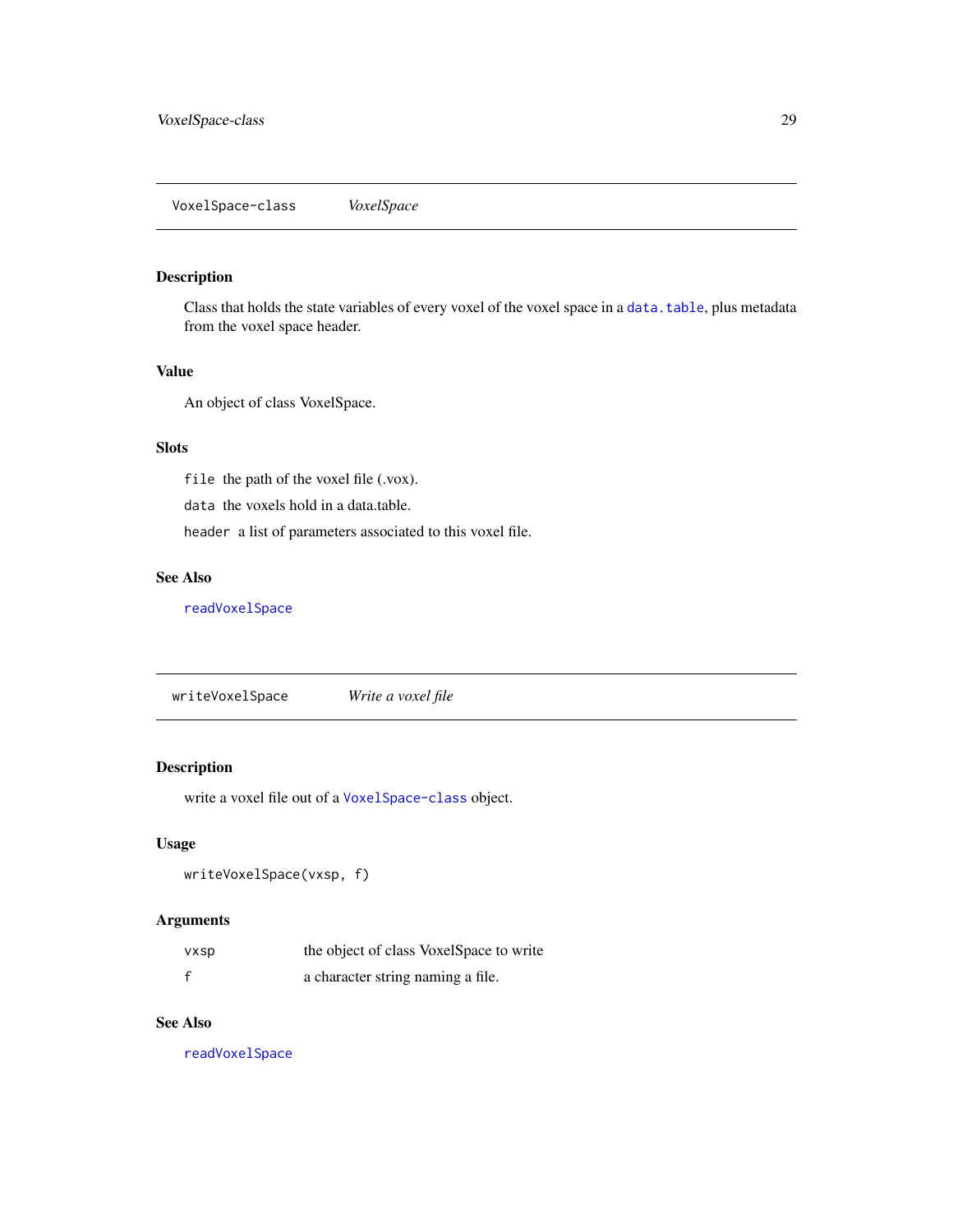#### <span id="page-28-1"></span><span id="page-28-0"></span>Description

Class that holds the state variables of every voxel of the voxel space in a [data.table](#page-0-0), plus metadata from the voxel space header.

#### Value

An object of class VoxelSpace.

#### Slots

file the path of the voxel file (.vox).

data the voxels hold in a data.table.

header a list of parameters associated to this voxel file.

#### See Also

#### [readVoxelSpace](#page-25-2)

<span id="page-28-2"></span>writeVoxelSpace *Write a voxel file*

#### Description

write a voxel file out of a [VoxelSpace-class](#page-28-1) object.

#### Usage

```
writeVoxelSpace(vxsp, f)
```
#### Arguments

| <b>VXSD</b> | the object of class VoxelSpace to write |
|-------------|-----------------------------------------|
| $\mathbf f$ | a character string naming a file.       |

#### See Also

[readVoxelSpace](#page-25-2)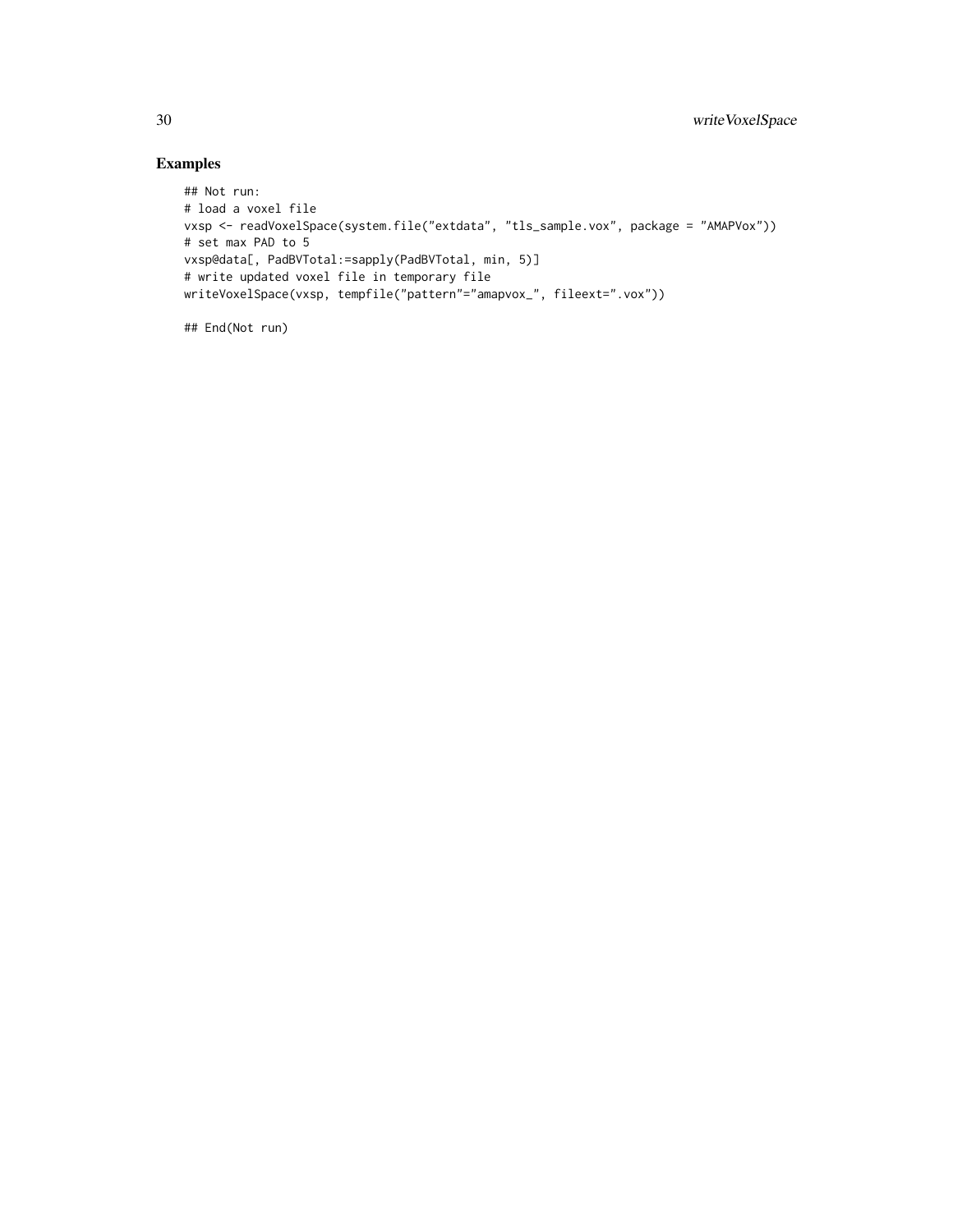### Examples

```
## Not run:
# load a voxel file
vxsp <- readVoxelSpace(system.file("extdata", "tls_sample.vox", package = "AMAPVox"))
# set max PAD to 5
vxsp@data[, PadBVTotal:=sapply(PadBVTotal, min, 5)]
# write updated voxel file in temporary file
writeVoxelSpace(vxsp, tempfile("pattern"="amapvox_", fileext=".vox"))
```
## End(Not run)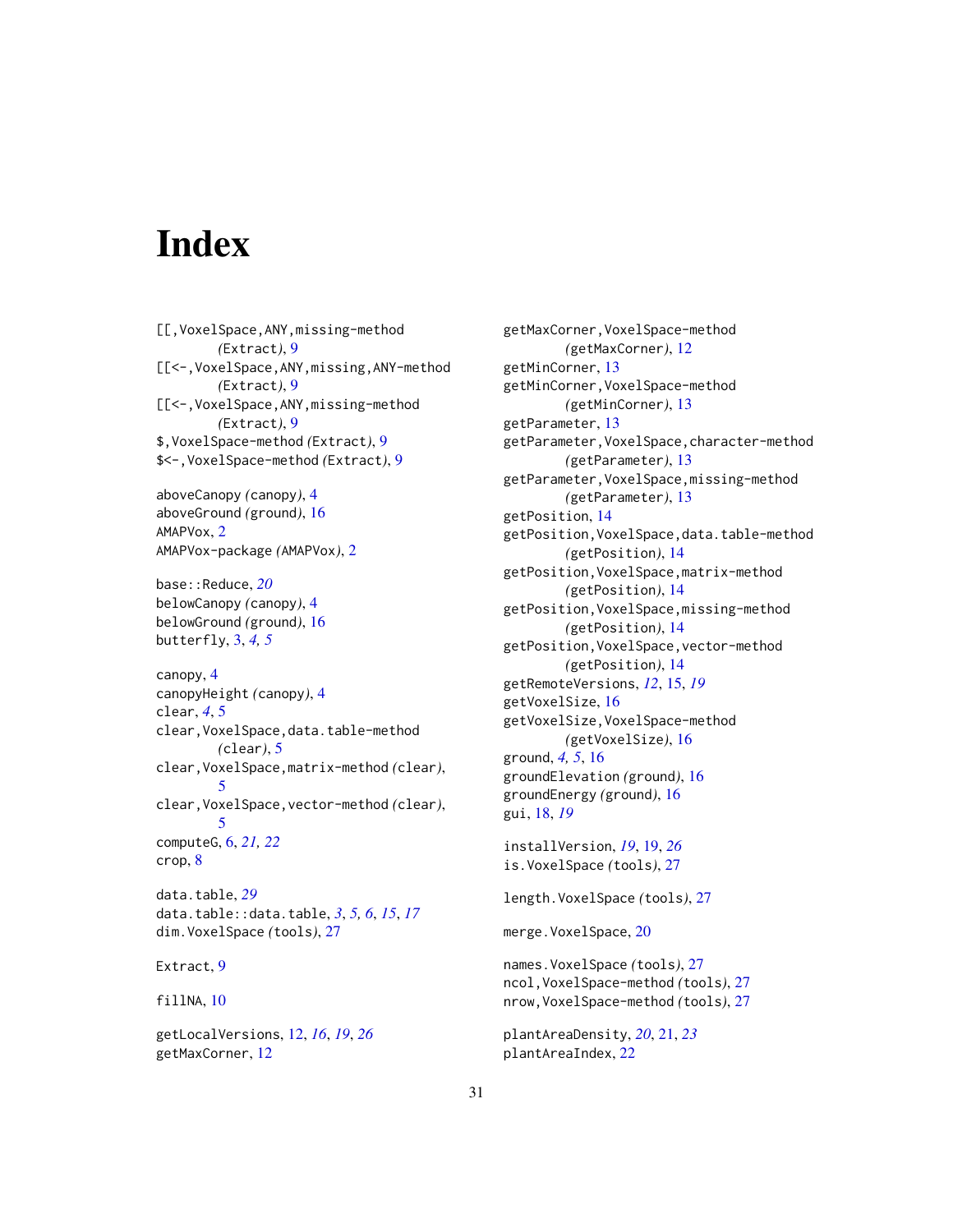# <span id="page-30-0"></span>**Index**

[[,VoxelSpace,ANY,missing-method *(*Extract*)*, [9](#page-8-0) [[<-,VoxelSpace,ANY,missing,ANY-method *(*Extract*)*, [9](#page-8-0) [[<-,VoxelSpace,ANY,missing-method *(*Extract*)*, [9](#page-8-0) \$,VoxelSpace-method *(*Extract*)*, [9](#page-8-0) \$<-,VoxelSpace-method *(*Extract*)*, [9](#page-8-0)

aboveCanopy *(*canopy*)*, [4](#page-3-0) aboveGround *(*ground*)*, [16](#page-15-0) AMAPVox, [2](#page-1-0) AMAPVox-package *(*AMAPVox*)*, [2](#page-1-0)

base::Reduce, *[20](#page-19-0)* belowCanopy *(*canopy*)*, [4](#page-3-0) belowGround *(*ground*)*, [16](#page-15-0) butterfly, [3,](#page-2-0) *[4,](#page-3-0) [5](#page-4-0)*

canopy, [4](#page-3-0) canopyHeight *(*canopy*)*, [4](#page-3-0) clear, *[4](#page-3-0)*, [5](#page-4-0) clear,VoxelSpace,data.table-method *(*clear*)*, [5](#page-4-0) clear,VoxelSpace,matrix-method *(*clear*)*, [5](#page-4-0) clear,VoxelSpace,vector-method *(*clear*)*, [5](#page-4-0) computeG, [6,](#page-5-0) *[21,](#page-20-0) [22](#page-21-0)* crop, [8](#page-7-0) data.table, *[29](#page-28-0)*

data.table::data.table, *[3](#page-2-0)*, *[5,](#page-4-0) [6](#page-5-0)*, *[15](#page-14-0)*, *[17](#page-16-0)* dim.VoxelSpace *(*tools*)*, [27](#page-26-0)

Extract, [9](#page-8-0)

fillNA, [10](#page-9-0)

getLocalVersions, [12,](#page-11-0) *[16](#page-15-0)*, *[19](#page-18-0)*, *[26](#page-25-0)* getMaxCorner, [12](#page-11-0)

getMaxCorner,VoxelSpace-method *(*getMaxCorner*)*, [12](#page-11-0) getMinCorner, [13](#page-12-0) getMinCorner,VoxelSpace-method *(*getMinCorner*)*, [13](#page-12-0) getParameter, [13](#page-12-0) getParameter,VoxelSpace,character-method *(*getParameter*)*, [13](#page-12-0) getParameter,VoxelSpace,missing-method *(*getParameter*)*, [13](#page-12-0) getPosition, [14](#page-13-0) getPosition,VoxelSpace,data.table-method *(*getPosition*)*, [14](#page-13-0) getPosition,VoxelSpace,matrix-method *(*getPosition*)*, [14](#page-13-0) getPosition,VoxelSpace,missing-method *(*getPosition*)*, [14](#page-13-0) getPosition,VoxelSpace,vector-method *(*getPosition*)*, [14](#page-13-0) getRemoteVersions, *[12](#page-11-0)*, [15,](#page-14-0) *[19](#page-18-0)* getVoxelSize, [16](#page-15-0) getVoxelSize,VoxelSpace-method *(*getVoxelSize*)*, [16](#page-15-0) ground, *[4,](#page-3-0) [5](#page-4-0)*, [16](#page-15-0) groundElevation *(*ground*)*, [16](#page-15-0) groundEnergy *(*ground*)*, [16](#page-15-0) gui, [18,](#page-17-0) *[19](#page-18-0)* installVersion, *[19](#page-18-0)*, [19,](#page-18-0) *[26](#page-25-0)* is.VoxelSpace *(*tools*)*, [27](#page-26-0) length.VoxelSpace *(*tools*)*, [27](#page-26-0)

merge.VoxelSpace, [20](#page-19-0)

names.VoxelSpace *(*tools*)*, [27](#page-26-0) ncol,VoxelSpace-method *(*tools*)*, [27](#page-26-0) nrow,VoxelSpace-method *(*tools*)*, [27](#page-26-0)

```
plantAreaDensity, 20, 21, 23
plantAreaIndex, 22
```